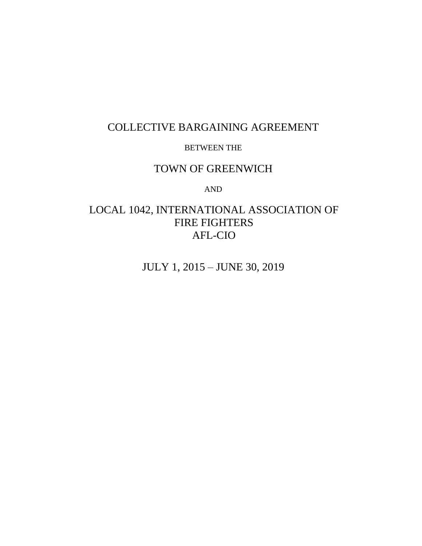# COLLECTIVE BARGAINING AGREEMENT

#### BETWEEN THE

# TOWN OF GREENWICH

AND

# LOCAL 1042, INTERNATIONAL ASSOCIATION OF FIRE FIGHTERS AFL-CIO

JULY 1, 2015 – JUNE 30, 2019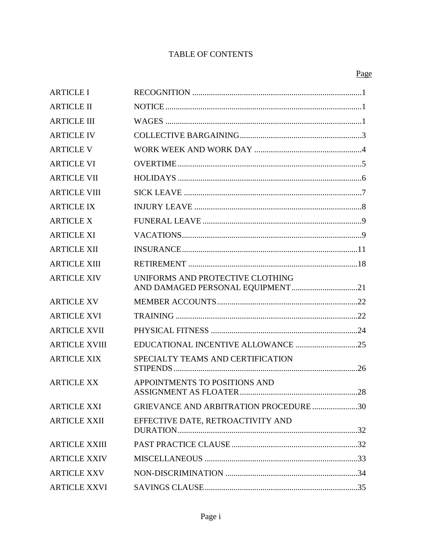# **TABLE OF CONTENTS**

| <b>ARTICLE I</b>     |                                                                      |     |
|----------------------|----------------------------------------------------------------------|-----|
| <b>ARTICLE II</b>    |                                                                      |     |
| <b>ARTICLE III</b>   |                                                                      |     |
| <b>ARTICLE IV</b>    |                                                                      |     |
| <b>ARTICLE V</b>     |                                                                      |     |
| <b>ARTICLE VI</b>    |                                                                      |     |
| <b>ARTICLE VII</b>   |                                                                      |     |
| <b>ARTICLE VIII</b>  |                                                                      |     |
| <b>ARTICLE IX</b>    |                                                                      |     |
| <b>ARTICLE X</b>     |                                                                      |     |
| <b>ARTICLE XI</b>    |                                                                      |     |
| <b>ARTICLE XII</b>   |                                                                      |     |
| <b>ARTICLE XIII</b>  |                                                                      |     |
| <b>ARTICLE XIV</b>   | UNIFORMS AND PROTECTIVE CLOTHING<br>AND DAMAGED PERSONAL EQUIPMENT21 |     |
| <b>ARTICLE XV</b>    |                                                                      |     |
| <b>ARTICLE XVI</b>   |                                                                      |     |
| <b>ARTICLE XVII</b>  |                                                                      |     |
| <b>ARTICLE XVIII</b> |                                                                      |     |
| <b>ARTICLE XIX</b>   | SPECIALTY TEAMS AND CERTIFICATION                                    |     |
| <b>ARTICLE XX</b>    | APPOINTMENTS TO POSITIONS AND<br>ASSIGNMENT AS FLOATER.              | .28 |
| <b>ARTICLE XXI</b>   | GRIEVANCE AND ARBITRATION PROCEDURE 30                               |     |
| <b>ARTICLE XXII</b>  | EFFECTIVE DATE, RETROACTIVITY AND                                    |     |
| <b>ARTICLE XXIII</b> |                                                                      |     |
| <b>ARTICLE XXIV</b>  |                                                                      |     |
| <b>ARTICLE XXV</b>   |                                                                      |     |
| <b>ARTICLE XXVI</b>  |                                                                      |     |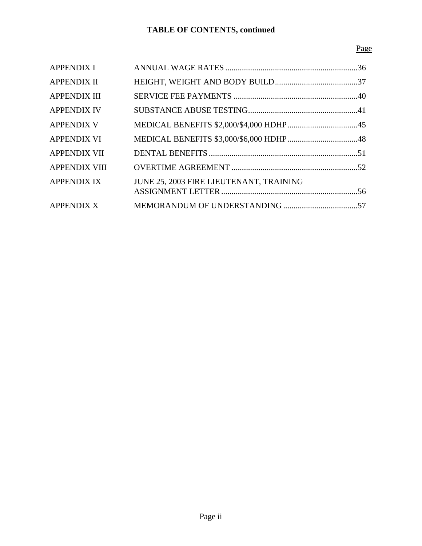# Page

| <b>APPENDIX I</b>    |                                         |  |
|----------------------|-----------------------------------------|--|
| <b>APPENDIX II</b>   |                                         |  |
| <b>APPENDIX III</b>  |                                         |  |
| <b>APPENDIX IV</b>   |                                         |  |
| <b>APPENDIX V</b>    |                                         |  |
| <b>APPENDIX VI</b>   |                                         |  |
| <b>APPENDIX VII</b>  |                                         |  |
| <b>APPENDIX VIII</b> |                                         |  |
| <b>APPENDIX IX</b>   | JUNE 25, 2003 FIRE LIEUTENANT, TRAINING |  |
|                      |                                         |  |
| <b>APPENDIX X</b>    |                                         |  |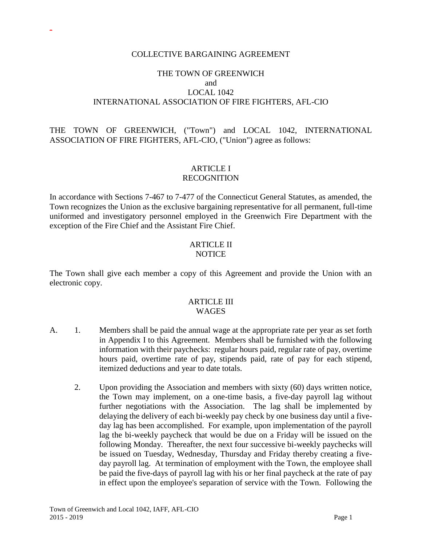#### COLLECTIVE BARGAINING AGREEMENT

-

#### THE TOWN OF GREENWICH and LOCAL 1042 INTERNATIONAL ASSOCIATION OF FIRE FIGHTERS, AFL-CIO

### THE TOWN OF GREENWICH, ("Town") and LOCAL 1042, INTERNATIONAL ASSOCIATION OF FIRE FIGHTERS, AFL-CIO, ("Union") agree as follows:

#### ARTICLE I RECOGNITION

In accordance with Sections 7-467 to 7-477 of the Connecticut General Statutes, as amended, the Town recognizes the Union as the exclusive bargaining representative for all permanent, full-time uniformed and investigatory personnel employed in the Greenwich Fire Department with the exception of the Fire Chief and the Assistant Fire Chief.

#### **ARTICLE II NOTICE**

The Town shall give each member a copy of this Agreement and provide the Union with an electronic copy.

#### ARTICLE III WAGES

- A. 1. Members shall be paid the annual wage at the appropriate rate per year as set forth in Appendix I to this Agreement. Members shall be furnished with the following information with their paychecks: regular hours paid, regular rate of pay, overtime hours paid, overtime rate of pay, stipends paid, rate of pay for each stipend, itemized deductions and year to date totals.
	- 2. Upon providing the Association and members with sixty (60) days written notice, the Town may implement, on a one-time basis, a five-day payroll lag without further negotiations with the Association. The lag shall be implemented by delaying the delivery of each bi-weekly pay check by one business day until a fiveday lag has been accomplished. For example, upon implementation of the payroll lag the bi-weekly paycheck that would be due on a Friday will be issued on the following Monday. Thereafter, the next four successive bi-weekly paychecks will be issued on Tuesday, Wednesday, Thursday and Friday thereby creating a fiveday payroll lag. At termination of employment with the Town, the employee shall be paid the five-days of payroll lag with his or her final paycheck at the rate of pay in effect upon the employee's separation of service with the Town. Following the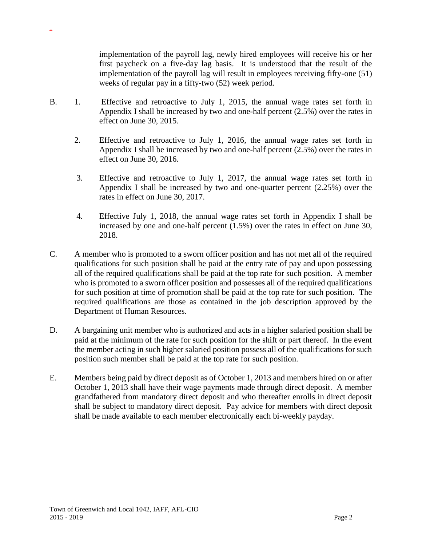implementation of the payroll lag, newly hired employees will receive his or her first paycheck on a five-day lag basis. It is understood that the result of the implementation of the payroll lag will result in employees receiving fifty-one (51) weeks of regular pay in a fifty-two (52) week period.

- B. 1. Effective and retroactive to July 1, 2015, the annual wage rates set forth in Appendix I shall be increased by two and one-half percent (2.5%) over the rates in effect on June 30, 2015.
	- 2. Effective and retroactive to July 1, 2016, the annual wage rates set forth in Appendix I shall be increased by two and one-half percent  $(2.5%)$  over the rates in effect on June 30, 2016.
	- 3. Effective and retroactive to July 1, 2017, the annual wage rates set forth in Appendix I shall be increased by two and one-quarter percent (2.25%) over the rates in effect on June 30, 2017.
	- 4. Effective July 1, 2018, the annual wage rates set forth in Appendix I shall be increased by one and one-half percent (1.5%) over the rates in effect on June 30, 2018.
- C. A member who is promoted to a sworn officer position and has not met all of the required qualifications for such position shall be paid at the entry rate of pay and upon possessing all of the required qualifications shall be paid at the top rate for such position. A member who is promoted to a sworn officer position and possesses all of the required qualifications for such position at time of promotion shall be paid at the top rate for such position. The required qualifications are those as contained in the job description approved by the Department of Human Resources.
- D. A bargaining unit member who is authorized and acts in a higher salaried position shall be paid at the minimum of the rate for such position for the shift or part thereof. In the event the member acting in such higher salaried position possess all of the qualifications for such position such member shall be paid at the top rate for such position.
- E. Members being paid by direct deposit as of October 1, 2013 and members hired on or after October 1, 2013 shall have their wage payments made through direct deposit. A member grandfathered from mandatory direct deposit and who thereafter enrolls in direct deposit shall be subject to mandatory direct deposit. Pay advice for members with direct deposit shall be made available to each member electronically each bi-weekly payday.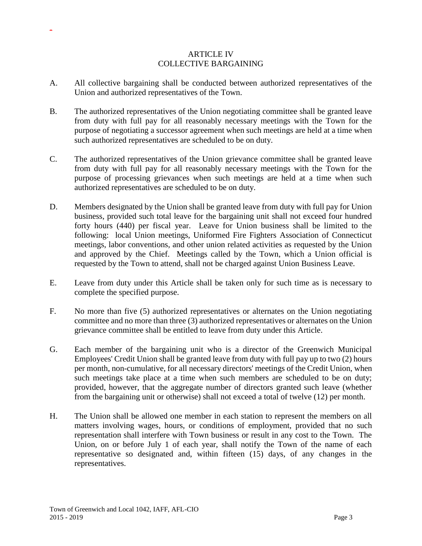#### ARTICLE IV COLLECTIVE BARGAINING

- A. All collective bargaining shall be conducted between authorized representatives of the Union and authorized representatives of the Town.
- B. The authorized representatives of the Union negotiating committee shall be granted leave from duty with full pay for all reasonably necessary meetings with the Town for the purpose of negotiating a successor agreement when such meetings are held at a time when such authorized representatives are scheduled to be on duty.
- C. The authorized representatives of the Union grievance committee shall be granted leave from duty with full pay for all reasonably necessary meetings with the Town for the purpose of processing grievances when such meetings are held at a time when such authorized representatives are scheduled to be on duty.
- D. Members designated by the Union shall be granted leave from duty with full pay for Union business, provided such total leave for the bargaining unit shall not exceed four hundred forty hours (440) per fiscal year. Leave for Union business shall be limited to the following: local Union meetings, Uniformed Fire Fighters Association of Connecticut meetings, labor conventions, and other union related activities as requested by the Union and approved by the Chief. Meetings called by the Town, which a Union official is requested by the Town to attend, shall not be charged against Union Business Leave.
- E. Leave from duty under this Article shall be taken only for such time as is necessary to complete the specified purpose.
- F. No more than five (5) authorized representatives or alternates on the Union negotiating committee and no more than three (3) authorized representatives or alternates on the Union grievance committee shall be entitled to leave from duty under this Article.
- G. Each member of the bargaining unit who is a director of the Greenwich Municipal Employees' Credit Union shall be granted leave from duty with full pay up to two (2) hours per month, non-cumulative, for all necessary directors' meetings of the Credit Union, when such meetings take place at a time when such members are scheduled to be on duty; provided, however, that the aggregate number of directors granted such leave (whether from the bargaining unit or otherwise) shall not exceed a total of twelve (12) per month.
- H. The Union shall be allowed one member in each station to represent the members on all matters involving wages, hours, or conditions of employment, provided that no such representation shall interfere with Town business or result in any cost to the Town. The Union, on or before July 1 of each year, shall notify the Town of the name of each representative so designated and, within fifteen (15) days, of any changes in the representatives.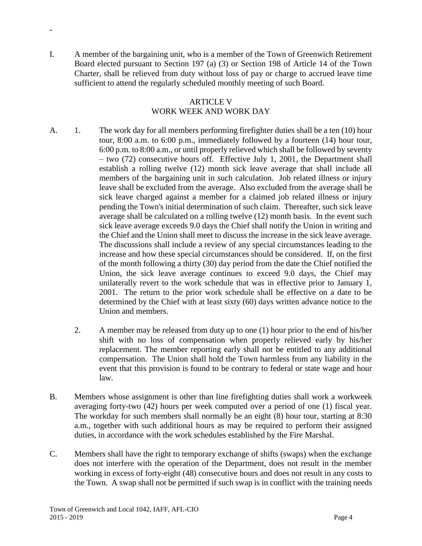I. A member of the bargaining unit, who is a member of the Town of Greenwich Retirement Board elected pursuant to Section 197 (a) (3) or Section 198 of Article 14 of the Town Charter, shall be relieved from duty without loss of pay or charge to accrued leave time sufficient to attend the regularly scheduled monthly meeting of such Board.

-

#### ARTICLE V WORK WEEK AND WORK DAY

- A. 1. The work day for all members performing firefighter duties shall be a ten (10) hour tour, 8:00 a.m. to 6:00 p.m., immediately followed by a fourteen (14) hour tour, 6:00 p.m. to 8:00 a.m., or until properly relieved which shall be followed by seventy – two (72) consecutive hours off. Effective July 1, 2001, the Department shall establish a rolling twelve (12) month sick leave average that shall include all members of the bargaining unit in such calculation. Job related illness or injury leave shall be excluded from the average. Also excluded from the average shall be sick leave charged against a member for a claimed job related illness or injury pending the Town's initial determination of such claim. Thereafter, such sick leave average shall be calculated on a rolling twelve (12) month basis. In the event such sick leave average exceeds 9.0 days the Chief shall notify the Union in writing and the Chief and the Union shall meet to discuss the increase in the sick leave average. The discussions shall include a review of any special circumstances leading to the increase and how these special circumstances should be considered. If, on the first of the month following a thirty (30) day period from the date the Chief notified the Union, the sick leave average continues to exceed 9.0 days, the Chief may unilaterally revert to the work schedule that was in effective prior to January 1, 2001. The return to the prior work schedule shall be effective on a date to be determined by the Chief with at least sixty (60) days written advance notice to the Union and members.
	- 2. A member may be released from duty up to one (1) hour prior to the end of his/her shift with no loss of compensation when properly relieved early by his/her replacement. The member reporting early shall not be entitled to any additional compensation. The Union shall hold the Town harmless from any liability in the event that this provision is found to be contrary to federal or state wage and hour law.
- B. Members whose assignment is other than line firefighting duties shall work a workweek averaging forty-two (42) hours per week computed over a period of one (1) fiscal year. The workday for such members shall normally be an eight (8) hour tour, starting at 8:30 a.m., together with such additional hours as may be required to perform their assigned duties, in accordance with the work schedules established by the Fire Marshal.
- C. Members shall have the right to temporary exchange of shifts (swaps) when the exchange does not interfere with the operation of the Department, does not result in the member working in excess of forty-eight (48) consecutive hours and does not result in any costs to the Town. A swap shall not be permitted if such swap is in conflict with the training needs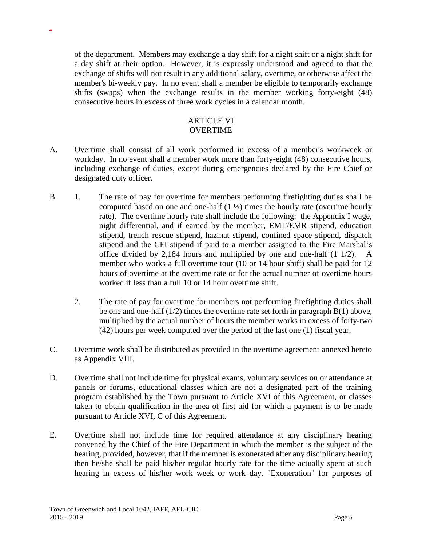of the department. Members may exchange a day shift for a night shift or a night shift for a day shift at their option. However, it is expressly understood and agreed to that the exchange of shifts will not result in any additional salary, overtime, or otherwise affect the member's bi-weekly pay. In no event shall a member be eligible to temporarily exchange shifts (swaps) when the exchange results in the member working forty-eight (48) consecutive hours in excess of three work cycles in a calendar month.

#### ARTICLE VI OVERTIME

- A. Overtime shall consist of all work performed in excess of a member's workweek or workday. In no event shall a member work more than forty-eight (48) consecutive hours, including exchange of duties, except during emergencies declared by the Fire Chief or designated duty officer.
- B. 1. The rate of pay for overtime for members performing firefighting duties shall be computed based on one and one-half  $(1 \frac{1}{2})$  times the hourly rate (overtime hourly rate). The overtime hourly rate shall include the following: the Appendix I wage, night differential, and if earned by the member, EMT/EMR stipend, education stipend, trench rescue stipend, hazmat stipend, confined space stipend, dispatch stipend and the CFI stipend if paid to a member assigned to the Fire Marshal's office divided by 2,184 hours and multiplied by one and one-half (1 1/2). A member who works a full overtime tour (10 or 14 hour shift) shall be paid for 12 hours of overtime at the overtime rate or for the actual number of overtime hours worked if less than a full 10 or 14 hour overtime shift.
	- 2. The rate of pay for overtime for members not performing firefighting duties shall be one and one-half  $(1/2)$  times the overtime rate set forth in paragraph  $B(1)$  above, multiplied by the actual number of hours the member works in excess of forty-two (42) hours per week computed over the period of the last one (1) fiscal year.
- C. Overtime work shall be distributed as provided in the overtime agreement annexed hereto as Appendix VIII.
- D. Overtime shall not include time for physical exams, voluntary services on or attendance at panels or forums, educational classes which are not a designated part of the training program established by the Town pursuant to Article XVI of this Agreement, or classes taken to obtain qualification in the area of first aid for which a payment is to be made pursuant to Article XVI, C of this Agreement.
- E. Overtime shall not include time for required attendance at any disciplinary hearing convened by the Chief of the Fire Department in which the member is the subject of the hearing, provided, however, that if the member is exonerated after any disciplinary hearing then he/she shall be paid his/her regular hourly rate for the time actually spent at such hearing in excess of his/her work week or work day. "Exoneration" for purposes of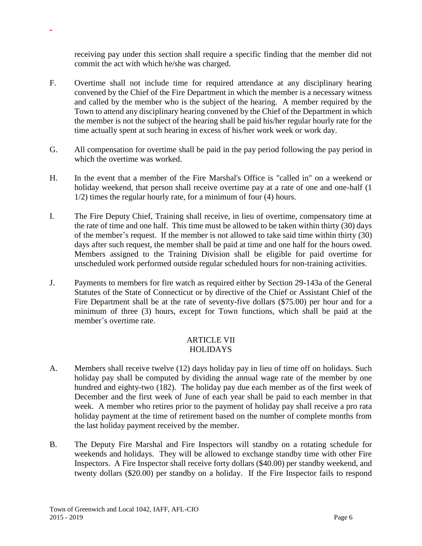receiving pay under this section shall require a specific finding that the member did not commit the act with which he/she was charged.

- F. Overtime shall not include time for required attendance at any disciplinary hearing convened by the Chief of the Fire Department in which the member is a necessary witness and called by the member who is the subject of the hearing. A member required by the Town to attend any disciplinary hearing convened by the Chief of the Department in which the member is not the subject of the hearing shall be paid his/her regular hourly rate for the time actually spent at such hearing in excess of his/her work week or work day.
- G. All compensation for overtime shall be paid in the pay period following the pay period in which the overtime was worked.
- H. In the event that a member of the Fire Marshal's Office is "called in" on a weekend or holiday weekend, that person shall receive overtime pay at a rate of one and one-half (1 1/2) times the regular hourly rate, for a minimum of four (4) hours.
- I. The Fire Deputy Chief, Training shall receive, in lieu of overtime, compensatory time at the rate of time and one half. This time must be allowed to be taken within thirty (30) days of the member's request. If the member is not allowed to take said time within thirty (30) days after such request, the member shall be paid at time and one half for the hours owed. Members assigned to the Training Division shall be eligible for paid overtime for unscheduled work performed outside regular scheduled hours for non-training activities.
- J. Payments to members for fire watch as required either by Section 29-143a of the General Statutes of the State of Connecticut or by directive of the Chief or Assistant Chief of the Fire Department shall be at the rate of seventy-five dollars (\$75.00) per hour and for a minimum of three (3) hours, except for Town functions, which shall be paid at the member's overtime rate.

#### ARTICLE VII **HOLIDAYS**

- A. Members shall receive twelve (12) days holiday pay in lieu of time off on holidays. Such holiday pay shall be computed by dividing the annual wage rate of the member by one hundred and eighty-two (182). The holiday pay due each member as of the first week of December and the first week of June of each year shall be paid to each member in that week. A member who retires prior to the payment of holiday pay shall receive a pro rata holiday payment at the time of retirement based on the number of complete months from the last holiday payment received by the member.
- B. The Deputy Fire Marshal and Fire Inspectors will standby on a rotating schedule for weekends and holidays. They will be allowed to exchange standby time with other Fire Inspectors. A Fire Inspector shall receive forty dollars (\$40.00) per standby weekend, and twenty dollars (\$20.00) per standby on a holiday. If the Fire Inspector fails to respond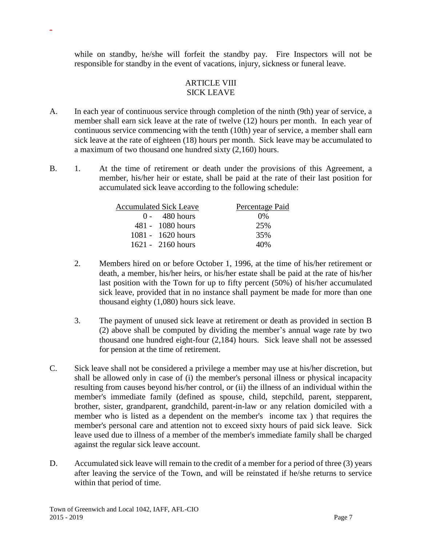while on standby, he/she will forfeit the standby pay. Fire Inspectors will not be responsible for standby in the event of vacations, injury, sickness or funeral leave.

### ARTICLE VIII SICK LEAVE

- A. In each year of continuous service through completion of the ninth (9th) year of service, a member shall earn sick leave at the rate of twelve (12) hours per month. In each year of continuous service commencing with the tenth (10th) year of service, a member shall earn sick leave at the rate of eighteen (18) hours per month. Sick leave may be accumulated to a maximum of two thousand one hundred sixty (2,160) hours.
- B. 1. At the time of retirement or death under the provisions of this Agreement, a member, his/her heir or estate, shall be paid at the rate of their last position for accumulated sick leave according to the following schedule:

| <b>Accumulated Sick Leave</b> | Percentage Paid |
|-------------------------------|-----------------|
| $0 - 480$ hours               | $0\%$           |
| $481 - 1080$ hours            | 25%             |
| $1081 - 1620$ hours           | 35%             |
| 1621 - 2160 hours             | 40%             |

- 2. Members hired on or before October 1, 1996, at the time of his/her retirement or death, a member, his/her heirs, or his/her estate shall be paid at the rate of his/her last position with the Town for up to fifty percent (50%) of his/her accumulated sick leave, provided that in no instance shall payment be made for more than one thousand eighty (1,080) hours sick leave.
- 3. The payment of unused sick leave at retirement or death as provided in section B (2) above shall be computed by dividing the member's annual wage rate by two thousand one hundred eight-four (2,184) hours. Sick leave shall not be assessed for pension at the time of retirement.
- C. Sick leave shall not be considered a privilege a member may use at his/her discretion, but shall be allowed only in case of (i) the member's personal illness or physical incapacity resulting from causes beyond his/her control, or (ii) the illness of an individual within the member's immediate family (defined as spouse, child, stepchild, parent, stepparent, brother, sister, grandparent, grandchild, parent-in-law or any relation domiciled with a member who is listed as a dependent on the member's income tax ) that requires the member's personal care and attention not to exceed sixty hours of paid sick leave. Sick leave used due to illness of a member of the member's immediate family shall be charged against the regular sick leave account.
- D. Accumulated sick leave will remain to the credit of a member for a period of three (3) years after leaving the service of the Town, and will be reinstated if he/she returns to service within that period of time.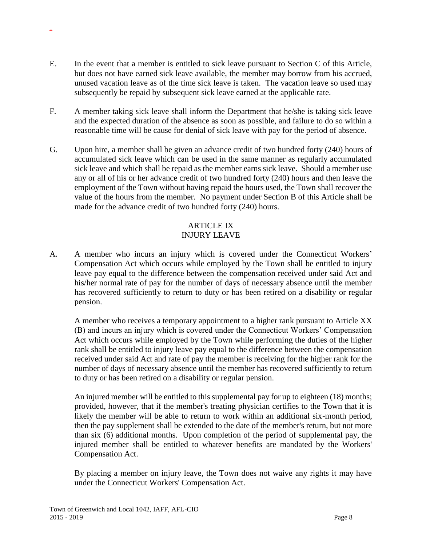- E. In the event that a member is entitled to sick leave pursuant to Section C of this Article, but does not have earned sick leave available, the member may borrow from his accrued, unused vacation leave as of the time sick leave is taken. The vacation leave so used may subsequently be repaid by subsequent sick leave earned at the applicable rate.
- F. A member taking sick leave shall inform the Department that he/she is taking sick leave and the expected duration of the absence as soon as possible, and failure to do so within a reasonable time will be cause for denial of sick leave with pay for the period of absence.
- G. Upon hire, a member shall be given an advance credit of two hundred forty (240) hours of accumulated sick leave which can be used in the same manner as regularly accumulated sick leave and which shall be repaid as the member earns sick leave. Should a member use any or all of his or her advance credit of two hundred forty (240) hours and then leave the employment of the Town without having repaid the hours used, the Town shall recover the value of the hours from the member. No payment under Section B of this Article shall be made for the advance credit of two hundred forty (240) hours.

### ARTICLE IX INJURY LEAVE

A. A member who incurs an injury which is covered under the Connecticut Workers' Compensation Act which occurs while employed by the Town shall be entitled to injury leave pay equal to the difference between the compensation received under said Act and his/her normal rate of pay for the number of days of necessary absence until the member has recovered sufficiently to return to duty or has been retired on a disability or regular pension.

A member who receives a temporary appointment to a higher rank pursuant to Article XX (B) and incurs an injury which is covered under the Connecticut Workers' Compensation Act which occurs while employed by the Town while performing the duties of the higher rank shall be entitled to injury leave pay equal to the difference between the compensation received under said Act and rate of pay the member is receiving for the higher rank for the number of days of necessary absence until the member has recovered sufficiently to return to duty or has been retired on a disability or regular pension.

An injured member will be entitled to this supplemental pay for up to eighteen (18) months; provided, however, that if the member's treating physician certifies to the Town that it is likely the member will be able to return to work within an additional six-month period, then the pay supplement shall be extended to the date of the member's return, but not more than six (6) additional months. Upon completion of the period of supplemental pay, the injured member shall be entitled to whatever benefits are mandated by the Workers' Compensation Act.

By placing a member on injury leave, the Town does not waive any rights it may have under the Connecticut Workers' Compensation Act.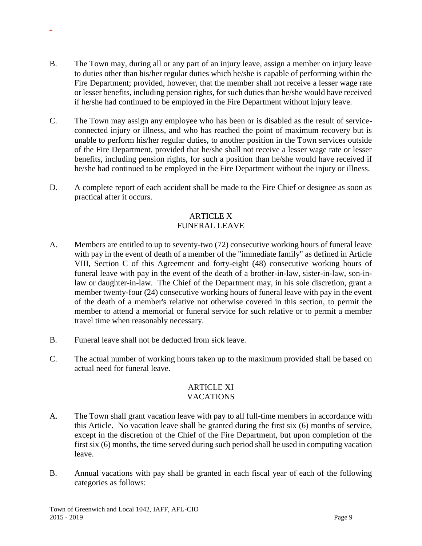- B. The Town may, during all or any part of an injury leave, assign a member on injury leave to duties other than his/her regular duties which he/she is capable of performing within the Fire Department; provided, however, that the member shall not receive a lesser wage rate or lesser benefits, including pension rights, for such duties than he/she would have received if he/she had continued to be employed in the Fire Department without injury leave.
- C. The Town may assign any employee who has been or is disabled as the result of serviceconnected injury or illness, and who has reached the point of maximum recovery but is unable to perform his/her regular duties, to another position in the Town services outside of the Fire Department, provided that he/she shall not receive a lesser wage rate or lesser benefits, including pension rights, for such a position than he/she would have received if he/she had continued to be employed in the Fire Department without the injury or illness.
- D. A complete report of each accident shall be made to the Fire Chief or designee as soon as practical after it occurs.

## ARTICLE X FUNERAL LEAVE

- A. Members are entitled to up to seventy-two (72) consecutive working hours of funeral leave with pay in the event of death of a member of the "immediate family" as defined in Article VIII, Section C of this Agreement and forty-eight (48) consecutive working hours of funeral leave with pay in the event of the death of a brother-in-law, sister-in-law, son-inlaw or daughter-in-law. The Chief of the Department may, in his sole discretion, grant a member twenty-four (24) consecutive working hours of funeral leave with pay in the event of the death of a member's relative not otherwise covered in this section, to permit the member to attend a memorial or funeral service for such relative or to permit a member travel time when reasonably necessary.
- B. Funeral leave shall not be deducted from sick leave.

-

C. The actual number of working hours taken up to the maximum provided shall be based on actual need for funeral leave.

#### ARTICLE XI VACATIONS

- A. The Town shall grant vacation leave with pay to all full-time members in accordance with this Article. No vacation leave shall be granted during the first six (6) months of service, except in the discretion of the Chief of the Fire Department, but upon completion of the first six (6) months, the time served during such period shall be used in computing vacation leave.
- B. Annual vacations with pay shall be granted in each fiscal year of each of the following categories as follows: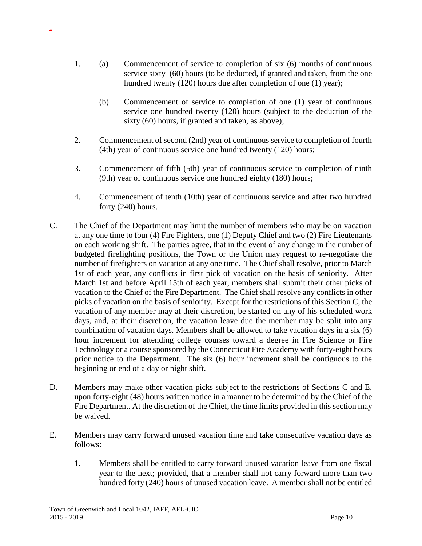- 1. (a) Commencement of service to completion of six (6) months of continuous service sixty (60) hours (to be deducted, if granted and taken, from the one hundred twenty (120) hours due after completion of one (1) year);
	- (b) Commencement of service to completion of one (1) year of continuous service one hundred twenty (120) hours (subject to the deduction of the sixty (60) hours, if granted and taken, as above);
- 2. Commencement of second (2nd) year of continuous service to completion of fourth (4th) year of continuous service one hundred twenty (120) hours;
- 3. Commencement of fifth (5th) year of continuous service to completion of ninth (9th) year of continuous service one hundred eighty (180) hours;
- 4. Commencement of tenth (10th) year of continuous service and after two hundred forty (240) hours.
- C. The Chief of the Department may limit the number of members who may be on vacation at any one time to four (4) Fire Fighters, one (1) Deputy Chief and two (2) Fire Lieutenants on each working shift. The parties agree, that in the event of any change in the number of budgeted firefighting positions, the Town or the Union may request to re-negotiate the number of firefighters on vacation at any one time. The Chief shall resolve, prior to March 1st of each year, any conflicts in first pick of vacation on the basis of seniority. After March 1st and before April 15th of each year, members shall submit their other picks of vacation to the Chief of the Fire Department. The Chief shall resolve any conflicts in other picks of vacation on the basis of seniority. Except for the restrictions of this Section C, the vacation of any member may at their discretion, be started on any of his scheduled work days, and, at their discretion, the vacation leave due the member may be split into any combination of vacation days. Members shall be allowed to take vacation days in a six (6) hour increment for attending college courses toward a degree in Fire Science or Fire Technology or a course sponsored by the Connecticut Fire Academy with forty-eight hours prior notice to the Department. The six (6) hour increment shall be contiguous to the beginning or end of a day or night shift.
- D. Members may make other vacation picks subject to the restrictions of Sections C and E, upon forty-eight (48) hours written notice in a manner to be determined by the Chief of the Fire Department. At the discretion of the Chief, the time limits provided in this section may be waived.
- E. Members may carry forward unused vacation time and take consecutive vacation days as follows:
	- 1. Members shall be entitled to carry forward unused vacation leave from one fiscal year to the next; provided, that a member shall not carry forward more than two hundred forty (240) hours of unused vacation leave. A member shall not be entitled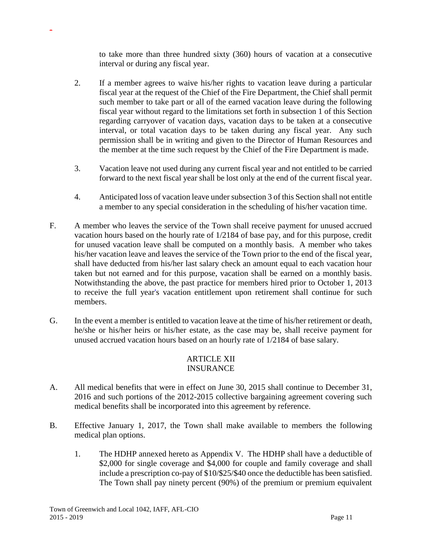to take more than three hundred sixty (360) hours of vacation at a consecutive interval or during any fiscal year.

- 2. If a member agrees to waive his/her rights to vacation leave during a particular fiscal year at the request of the Chief of the Fire Department, the Chief shall permit such member to take part or all of the earned vacation leave during the following fiscal year without regard to the limitations set forth in subsection 1 of this Section regarding carryover of vacation days, vacation days to be taken at a consecutive interval, or total vacation days to be taken during any fiscal year. Any such permission shall be in writing and given to the Director of Human Resources and the member at the time such request by the Chief of the Fire Department is made.
- 3. Vacation leave not used during any current fiscal year and not entitled to be carried forward to the next fiscal year shall be lost only at the end of the current fiscal year.
- 4. Anticipated loss of vacation leave under subsection 3 of this Section shall not entitle a member to any special consideration in the scheduling of his/her vacation time.
- F. A member who leaves the service of the Town shall receive payment for unused accrued vacation hours based on the hourly rate of 1/2184 of base pay, and for this purpose, credit for unused vacation leave shall be computed on a monthly basis. A member who takes his/her vacation leave and leaves the service of the Town prior to the end of the fiscal year, shall have deducted from his/her last salary check an amount equal to each vacation hour taken but not earned and for this purpose, vacation shall be earned on a monthly basis. Notwithstanding the above, the past practice for members hired prior to October 1, 2013 to receive the full year's vacation entitlement upon retirement shall continue for such members.
- G. In the event a member is entitled to vacation leave at the time of his/her retirement or death, he/she or his/her heirs or his/her estate, as the case may be, shall receive payment for unused accrued vacation hours based on an hourly rate of 1/2184 of base salary.

## ARTICLE XII INSURANCE

- A. All medical benefits that were in effect on June 30, 2015 shall continue to December 31, 2016 and such portions of the 2012-2015 collective bargaining agreement covering such medical benefits shall be incorporated into this agreement by reference.
- B. Effective January 1, 2017, the Town shall make available to members the following medical plan options.
	- 1. The HDHP annexed hereto as Appendix V.The HDHP shall have a deductible of \$2,000 for single coverage and \$4,000 for couple and family coverage and shall include a prescription co-pay of \$10/\$25/\$40 once the deductible has been satisfied. The Town shall pay ninety percent (90%) of the premium or premium equivalent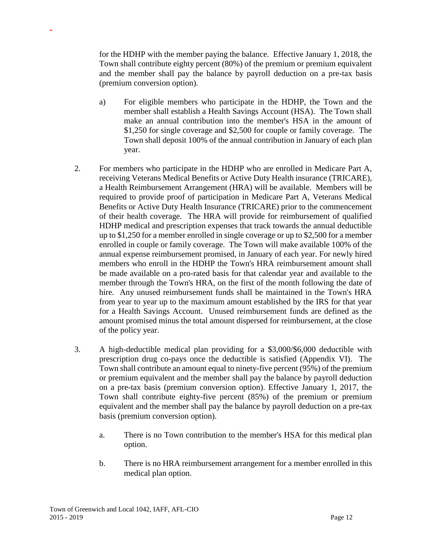for the HDHP with the member paying the balance.Effective January 1, 2018, the Town shall contribute eighty percent (80%) of the premium or premium equivalent and the member shall pay the balance by payroll deduction on a pre-tax basis (premium conversion option).

- a) For eligible members who participate in the HDHP, the Town and the member shall establish a Health Savings Account (HSA). The Town shall make an annual contribution into the member's HSA in the amount of \$1,250 for single coverage and \$2,500 for couple or family coverage. The Town shall deposit 100% of the annual contribution in January of each plan year.
- 2. For members who participate in the HDHP who are enrolled in Medicare Part A, receiving Veterans Medical Benefits or Active Duty Health insurance (TRICARE), a Health Reimbursement Arrangement (HRA) will be available. Members will be required to provide proof of participation in Medicare Part A, Veterans Medical Benefits or Active Duty Health Insurance (TRICARE) prior to the commencement of their health coverage. The HRA will provide for reimbursement of qualified HDHP medical and prescription expenses that track towards the annual deductible up to \$1,250 for a member enrolled in single coverage or up to \$2,500 for a member enrolled in couple or family coverage. The Town will make available 100% of the annual expense reimbursement promised, in January of each year. For newly hired members who enroll in the HDHP the Town's HRA reimbursement amount shall be made available on a pro-rated basis for that calendar year and available to the member through the Town's HRA, on the first of the month following the date of hire. Any unused reimbursement funds shall be maintained in the Town's HRA from year to year up to the maximum amount established by the IRS for that year for a Health Savings Account. Unused reimbursement funds are defined as the amount promised minus the total amount dispersed for reimbursement, at the close of the policy year.
- 3. A high-deductible medical plan providing for a \$3,000/\$6,000 deductible with prescription drug co-pays once the deductible is satisfied (Appendix VI). The Town shall contribute an amount equal to ninety-five percent (95%) of the premium or premium equivalent and the member shall pay the balance by payroll deduction on a pre-tax basis (premium conversion option). Effective January 1, 2017, the Town shall contribute eighty-five percent (85%) of the premium or premium equivalent and the member shall pay the balance by payroll deduction on a pre-tax basis (premium conversion option).
	- a. There is no Town contribution to the member's HSA for this medical plan option.
	- b. There is no HRA reimbursement arrangement for a member enrolled in this medical plan option.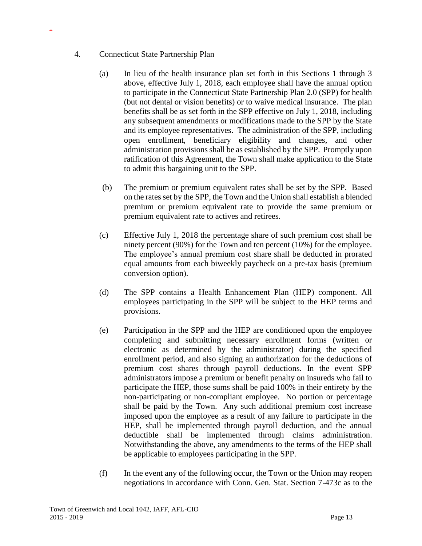4. Connecticut State Partnership Plan

- (a) In lieu of the health insurance plan set forth in this Sections 1 through 3 above, effective July 1, 2018, each employee shall have the annual option to participate in the Connecticut State Partnership Plan 2.0 (SPP) for health (but not dental or vision benefits) or to waive medical insurance. The plan benefits shall be as set forth in the SPP effective on July 1, 2018, including any subsequent amendments or modifications made to the SPP by the State and its employee representatives. The administration of the SPP, including open enrollment, beneficiary eligibility and changes, and other administration provisions shall be as established by the SPP. Promptly upon ratification of this Agreement, the Town shall make application to the State to admit this bargaining unit to the SPP.
- (b) The premium or premium equivalent rates shall be set by the SPP. Based on the rates set by the SPP, the Town and the Union shall establish a blended premium or premium equivalent rate to provide the same premium or premium equivalent rate to actives and retirees.
- (c) Effective July 1, 2018 the percentage share of such premium cost shall be ninety percent (90%) for the Town and ten percent (10%) for the employee. The employee's annual premium cost share shall be deducted in prorated equal amounts from each biweekly paycheck on a pre-tax basis (premium conversion option).
- (d) The SPP contains a Health Enhancement Plan (HEP) component. All employees participating in the SPP will be subject to the HEP terms and provisions.
- (e) Participation in the SPP and the HEP are conditioned upon the employee completing and submitting necessary enrollment forms (written or electronic as determined by the administrator) during the specified enrollment period, and also signing an authorization for the deductions of premium cost shares through payroll deductions. In the event SPP administrators impose a premium or benefit penalty on insureds who fail to participate the HEP, those sums shall be paid 100% in their entirety by the non-participating or non-compliant employee. No portion or percentage shall be paid by the Town. Any such additional premium cost increase imposed upon the employee as a result of any failure to participate in the HEP, shall be implemented through payroll deduction, and the annual deductible shall be implemented through claims administration. Notwithstanding the above, any amendments to the terms of the HEP shall be applicable to employees participating in the SPP.
- (f) In the event any of the following occur, the Town or the Union may reopen negotiations in accordance with Conn. Gen. Stat. Section 7-473c as to the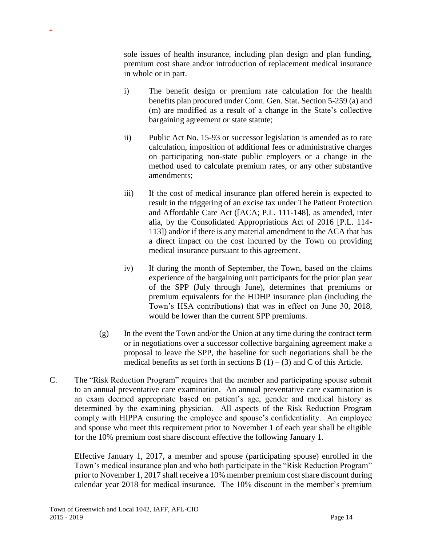sole issues of health insurance, including plan design and plan funding, premium cost share and/or introduction of replacement medical insurance in whole or in part.

- i) The benefit design or premium rate calculation for the health benefits plan procured under Conn. Gen. Stat. Section 5-259 (a) and (m) are modified as a result of a change in the State's collective bargaining agreement or state statute;
- ii) Public Act No. 15-93 or successor legislation is amended as to rate calculation, imposition of additional fees or administrative charges on participating non-state public employers or a change in the method used to calculate premium rates, or any other substantive amendments;
- iii) If the cost of medical insurance plan offered herein is expected to result in the triggering of an excise tax under The Patient Protection and Affordable Care Act ([ACA; P.L. 111-148], as amended, inter alia, by the Consolidated Appropriations Act of 2016 [P.L. 114- 113]) and/or if there is any material amendment to the ACA that has a direct impact on the cost incurred by the Town on providing medical insurance pursuant to this agreement.
- iv) If during the month of September, the Town, based on the claims experience of the bargaining unit participants for the prior plan year of the SPP (July through June), determines that premiums or premium equivalents for the HDHP insurance plan (including the Town's HSA contributions) that was in effect on June 30, 2018, would be lower than the current SPP premiums.
- (g) In the event the Town and/or the Union at any time during the contract term or in negotiations over a successor collective bargaining agreement make a proposal to leave the SPP, the baseline for such negotiations shall be the medical benefits as set forth in sections B  $(1) - (3)$  and C of this Article.
- C. The "Risk Reduction Program" requires that the member and participating spouse submit to an annual preventative care examination. An annual preventative care examination is an exam deemed appropriate based on patient's age, gender and medical history as determined by the examining physician. All aspects of the Risk Reduction Program comply with HIPPA ensuring the employee and spouse's confidentiality. An employee and spouse who meet this requirement prior to November 1 of each year shall be eligible for the 10% premium cost share discount effective the following January 1.

Effective January 1, 2017, a member and spouse (participating spouse) enrolled in the Town's medical insurance plan and who both participate in the "Risk Reduction Program" prior to November 1, 2017 shall receive a 10% member premium cost share discount during calendar year 2018 for medical insurance. The 10% discount in the member's premium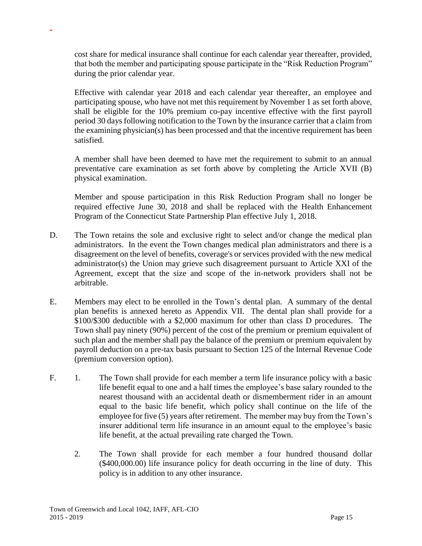cost share for medical insurance shall continue for each calendar year thereafter, provided, that both the member and participating spouse participate in the "Risk Reduction Program" during the prior calendar year.

Effective with calendar year 2018 and each calendar year thereafter, an employee and participating spouse, who have not met this requirement by November 1 as set forth above, shall be eligible for the 10% premium co-pay incentive effective with the first payroll period 30 days following notification to the Town by the insurance carrier that a claim from the examining physician(s) has been processed and that the incentive requirement has been satisfied.

A member shall have been deemed to have met the requirement to submit to an annual preventative care examination as set forth above by completing the Article XVII (B) physical examination.

Member and spouse participation in this Risk Reduction Program shall no longer be required effective June 30, 2018 and shall be replaced with the Health Enhancement Program of the Connecticut State Partnership Plan effective July 1, 2018.

- D. The Town retains the sole and exclusive right to select and/or change the medical plan administrators. In the event the Town changes medical plan administrators and there is a disagreement on the level of benefits, coverage's or services provided with the new medical administrator(s) the Union may grieve such disagreement pursuant to Article XXI of the Agreement, except that the size and scope of the in-network providers shall not be arbitrable.
- E. Members may elect to be enrolled in the Town's dental plan. A summary of the dental plan benefits is annexed hereto as Appendix VII. The dental plan shall provide for a \$100/\$300 deductible with a \$2,000 maximum for other than class D procedures. The Town shall pay ninety (90%) percent of the cost of the premium or premium equivalent of such plan and the member shall pay the balance of the premium or premium equivalent by payroll deduction on a pre-tax basis pursuant to Section 125 of the Internal Revenue Code (premium conversion option).
- F. 1. The Town shall provide for each member a term life insurance policy with a basic life benefit equal to one and a half times the employee's base salary rounded to the nearest thousand with an accidental death or dismemberment rider in an amount equal to the basic life benefit, which policy shall continue on the life of the employee for five (5) years after retirement. The member may buy from the Town's insurer additional term life insurance in an amount equal to the employee's basic life benefit, at the actual prevailing rate charged the Town.
	- 2. The Town shall provide for each member a four hundred thousand dollar (\$400,000.00) life insurance policy for death occurring in the line of duty. This policy is in addition to any other insurance.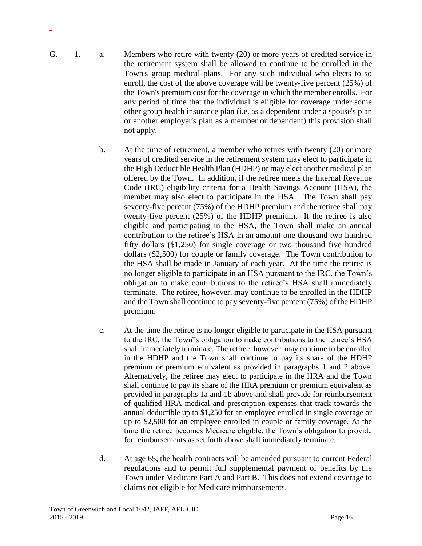- G. 1. a. Members who retire with twenty (20) or more years of credited service in the retirement system shall be allowed to continue to be enrolled in the Town's group medical plans. For any such individual who elects to so enroll, the cost of the above coverage will be twenty-five percent (25%) of the Town's premium cost for the coverage in which the member enrolls. For any period of time that the individual is eligible for coverage under some other group health insurance plan (i.e. as a dependent under a spouse's plan or another employer's plan as a member or dependent) this provision shall not apply.
	- b. At the time of retirement, a member who retires with twenty (20) or more years of credited service in the retirement system may elect to participate in the High Deductible Health Plan (HDHP) or may elect another medical plan offered by the Town. In addition, if the retiree meets the Internal Revenue Code (IRC) eligibility criteria for a Health Savings Account (HSA), the member may also elect to participate in the HSA. The Town shall pay seventy-five percent (75%) of the HDHP premium and the retiree shall pay twenty-five percent (25%) of the HDHP premium. If the retiree is also eligible and participating in the HSA, the Town shall make an annual contribution to the retiree's HSA in an amount one thousand two hundred fifty dollars (\$1,250) for single coverage or two thousand five hundred dollars (\$2,500) for couple or family coverage. The Town contribution to the HSA shall be made in January of each year. At the time the retiree is no longer eligible to participate in an HSA pursuant to the IRC, the Town's obligation to make contributions to the retiree's HSA shall immediately terminate. The retiree, however, may continue to be enrolled in the HDHP and the Town shall continue to pay seventy-five percent (75%) of the HDHP premium.
	- c. At the time the retiree is no longer eligible to participate in the HSA pursuant to the IRC, the Town"s obligation to make contributions to the retiree's HSA shall immediately terminate. The retiree, however, may continue to be enrolled in the HDHP and the Town shall continue to pay its share of the HDHP premium or premium equivalent as provided in paragraphs 1 and 2 above. Alternatively, the retiree may elect to participate in the HRA and the Town shall continue to pay its share of the HRA premium or premium equivalent as provided in paragraphs 1a and 1b above and shall provide for reimbursement of qualified HRA medical and prescription expenses that track towards the annual deductible up to \$1,250 for an employee enrolled in single coverage or up to \$2,500 for an employee enrolled in couple or family coverage. At the time the retiree becomes Medicare eligible, the Town's obligation to provide for reimbursements as set forth above shall immediately terminate.
	- d. At age 65, the health contracts will be amended pursuant to current Federal regulations and to permit full supplemental payment of benefits by the Town under Medicare Part A and Part B. This does not extend coverage to claims not eligible for Medicare reimbursements.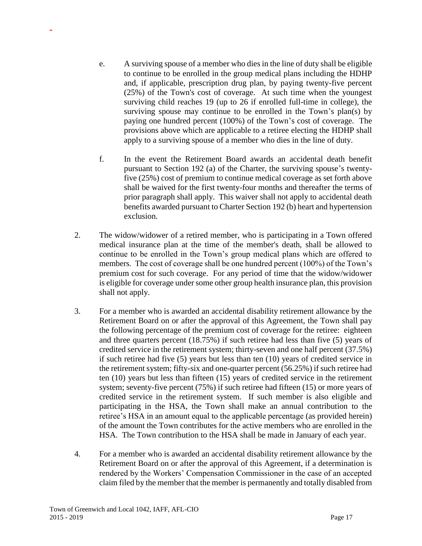- e. A surviving spouse of a member who dies in the line of duty shall be eligible to continue to be enrolled in the group medical plans including the HDHP and, if applicable, prescription drug plan, by paying twenty-five percent (25%) of the Town's cost of coverage. At such time when the youngest surviving child reaches 19 (up to 26 if enrolled full-time in college), the surviving spouse may continue to be enrolled in the Town's plan(s) by paying one hundred percent (100%) of the Town's cost of coverage. The provisions above which are applicable to a retiree electing the HDHP shall apply to a surviving spouse of a member who dies in the line of duty.
- f. In the event the Retirement Board awards an accidental death benefit pursuant to Section 192 (a) of the Charter, the surviving spouse's twentyfive (25%) cost of premium to continue medical coverage as set forth above shall be waived for the first twenty-four months and thereafter the terms of prior paragraph shall apply. This waiver shall not apply to accidental death benefits awarded pursuant to Charter Section 192 (b) heart and hypertension exclusion.
- 2. The widow/widower of a retired member, who is participating in a Town offered medical insurance plan at the time of the member's death, shall be allowed to continue to be enrolled in the Town's group medical plans which are offered to members. The cost of coverage shall be one hundred percent (100%) of the Town's premium cost for such coverage. For any period of time that the widow/widower is eligible for coverage under some other group health insurance plan, this provision shall not apply.
- 3. For a member who is awarded an accidental disability retirement allowance by the Retirement Board on or after the approval of this Agreement, the Town shall pay the following percentage of the premium cost of coverage for the retiree: eighteen and three quarters percent (18.75%) if such retiree had less than five (5) years of credited service in the retirement system; thirty-seven and one half percent (37.5%) if such retiree had five (5) years but less than ten (10) years of credited service in the retirement system; fifty-six and one-quarter percent (56.25%) if such retiree had ten (10) years but less than fifteen (15) years of credited service in the retirement system; seventy-five percent (75%) if such retiree had fifteen (15) or more years of credited service in the retirement system. If such member is also eligible and participating in the HSA, the Town shall make an annual contribution to the retiree's HSA in an amount equal to the applicable percentage (as provided herein) of the amount the Town contributes for the active members who are enrolled in the HSA. The Town contribution to the HSA shall be made in January of each year.
- 4. For a member who is awarded an accidental disability retirement allowance by the Retirement Board on or after the approval of this Agreement, if a determination is rendered by the Workers' Compensation Commissioner in the case of an accepted claim filed by the member that the member is permanently and totally disabled from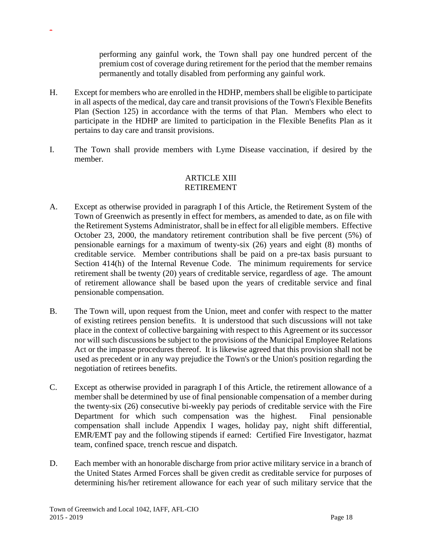performing any gainful work, the Town shall pay one hundred percent of the premium cost of coverage during retirement for the period that the member remains permanently and totally disabled from performing any gainful work.

- H. Except for members who are enrolled in the HDHP, members shall be eligible to participate in all aspects of the medical, day care and transit provisions of the Town's Flexible Benefits Plan (Section 125) in accordance with the terms of that Plan. Members who elect to participate in the HDHP are limited to participation in the Flexible Benefits Plan as it pertains to day care and transit provisions.
- I. The Town shall provide members with Lyme Disease vaccination, if desired by the member.

#### ARTICLE XIII RETIREMENT

- A. Except as otherwise provided in paragraph I of this Article, the Retirement System of the Town of Greenwich as presently in effect for members, as amended to date, as on file with the Retirement Systems Administrator, shall be in effect for all eligible members. Effective October 23, 2000, the mandatory retirement contribution shall be five percent (5%) of pensionable earnings for a maximum of twenty-six (26) years and eight (8) months of creditable service. Member contributions shall be paid on a pre-tax basis pursuant to Section 414(h) of the Internal Revenue Code. The minimum requirements for service retirement shall be twenty (20) years of creditable service, regardless of age. The amount of retirement allowance shall be based upon the years of creditable service and final pensionable compensation.
- B. The Town will, upon request from the Union, meet and confer with respect to the matter of existing retirees pension benefits. It is understood that such discussions will not take place in the context of collective bargaining with respect to this Agreement or its successor nor will such discussions be subject to the provisions of the Municipal Employee Relations Act or the impasse procedures thereof. It is likewise agreed that this provision shall not be used as precedent or in any way prejudice the Town's or the Union's position regarding the negotiation of retirees benefits.
- C. Except as otherwise provided in paragraph I of this Article, the retirement allowance of a member shall be determined by use of final pensionable compensation of a member during the twenty-six (26) consecutive bi-weekly pay periods of creditable service with the Fire Department for which such compensation was the highest. Final pensionable compensation shall include Appendix I wages, holiday pay, night shift differential, EMR/EMT pay and the following stipends if earned: Certified Fire Investigator, hazmat team, confined space, trench rescue and dispatch.
- D. Each member with an honorable discharge from prior active military service in a branch of the United States Armed Forces shall be given credit as creditable service for purposes of determining his/her retirement allowance for each year of such military service that the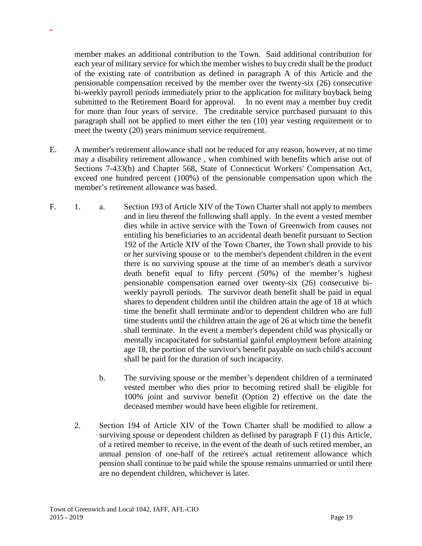member makes an additional contribution to the Town. Said additional contribution for each year of military service for which the member wishes to buy credit shall be the product of the existing rate of contribution as defined in paragraph A of this Article and the pensionable compensation received by the member over the twenty-six (26) consecutive bi-weekly payroll periods immediately prior to the application for military buyback being submitted to the Retirement Board for approval. In no event may a member buy credit for more than four years of service. The creditable service purchased pursuant to this paragraph shall not be applied to meet either the ten (10) year vesting requirement or to meet the twenty (20) years minimum service requirement.

- E. A member's retirement allowance shall not be reduced for any reason, however, at no time may a disability retirement allowance , when combined with benefits which arise out of Sections 7-433(b) and Chapter 568, State of Connecticut Workers' Compensation Act, exceed one hundred percent (100%) of the pensionable compensation upon which the member's retirement allowance was based.
- F. 1. a. Section 193 of Article XIV of the Town Charter shall not apply to members and in lieu thereof the following shall apply. In the event a vested member dies while in active service with the Town of Greenwich from causes not entitling his beneficiaries to an accidental death benefit pursuant to Section 192 of the Article XIV of the Town Charter, the Town shall provide to his or her surviving spouse or to the member's dependent children in the event there is no surviving spouse at the time of an member's death a survivor death benefit equal to fifty percent (50%) of the member's highest pensionable compensation earned over twenty-six (26) consecutive biweekly payroll periods. The survivor death benefit shall be paid in equal shares to dependent children until the children attain the age of 18 at which time the benefit shall terminate and/or to dependent children who are full time students until the children attain the age of 26 at which time the benefit shall terminate. In the event a member's dependent child was physically or mentally incapacitated for substantial gainful employment before attaining age 18, the portion of the survivor's benefit payable on such child's account shall be paid for the duration of such incapacity.
	- b. The surviving spouse or the member's dependent children of a terminated vested member who dies prior to becoming retired shall be eligible for 100% joint and survivor benefit (Option 2) effective on the date the deceased member would have been eligible for retirement.
	- 2. Section 194 of Article XIV of the Town Charter shall be modified to allow a surviving spouse or dependent children as defined by paragraph F (1) this Article, of a retired member to receive, in the event of the death of such retired member, an annual pension of one-half of the retiree's actual retirement allowance which pension shall continue to be paid while the spouse remains unmarried or until there are no dependent children, whichever is later.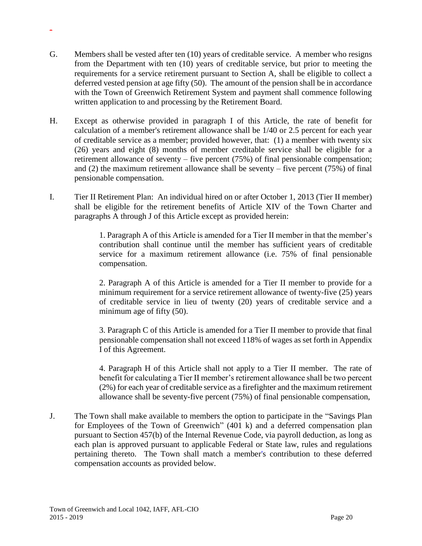- G. Members shall be vested after ten (10) years of creditable service. A member who resigns from the Department with ten (10) years of creditable service, but prior to meeting the requirements for a service retirement pursuant to Section A, shall be eligible to collect a deferred vested pension at age fifty (50). The amount of the pension shall be in accordance with the Town of Greenwich Retirement System and payment shall commence following written application to and processing by the Retirement Board.
- H. Except as otherwise provided in paragraph I of this Article, the rate of benefit for calculation of a member's retirement allowance shall be 1/40 or 2.5 percent for each year of creditable service as a member; provided however, that: (1) a member with twenty six (26) years and eight (8) months of member creditable service shall be eligible for a retirement allowance of seventy – five percent (75%) of final pensionable compensation; and  $(2)$  the maximum retirement allowance shall be seventy – five percent  $(75%)$  of final pensionable compensation.
- I. Tier II Retirement Plan: An individual hired on or after October 1, 2013 (Tier II member) shall be eligible for the retirement benefits of Article XIV of the Town Charter and paragraphs A through J of this Article except as provided herein:

1. Paragraph A of this Article is amended for a Tier II member in that the member's contribution shall continue until the member has sufficient years of creditable service for a maximum retirement allowance (i.e. 75% of final pensionable compensation.

2. Paragraph A of this Article is amended for a Tier II member to provide for a minimum requirement for a service retirement allowance of twenty-five (25) years of creditable service in lieu of twenty (20) years of creditable service and a minimum age of fifty (50).

3. Paragraph C of this Article is amended for a Tier II member to provide that final pensionable compensation shall not exceed 118% of wages as set forth in Appendix I of this Agreement.

4. Paragraph H of this Article shall not apply to a Tier II member. The rate of benefit for calculating a Tier II member's retirement allowance shall be two percent (2%) for each year of creditable service as a firefighter and the maximum retirement allowance shall be seventy-five percent (75%) of final pensionable compensation,

J. The Town shall make available to members the option to participate in the "Savings Plan for Employees of the Town of Greenwich" (401 k) and a deferred compensation plan pursuant to Section 457(b) of the Internal Revenue Code, via payroll deduction, as long as each plan is approved pursuant to applicable Federal or State law, rules and regulations pertaining thereto. The Town shall match a member's contribution to these deferred compensation accounts as provided below.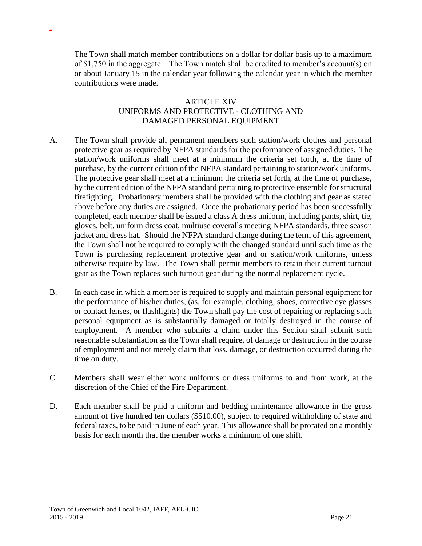The Town shall match member contributions on a dollar for dollar basis up to a maximum of \$1,750 in the aggregate. The Town match shall be credited to member's account(s) on or about January 15 in the calendar year following the calendar year in which the member contributions were made.

### ARTICLE XIV UNIFORMS AND PROTECTIVE - CLOTHING AND DAMAGED PERSONAL EQUIPMENT

- A. The Town shall provide all permanent members such station/work clothes and personal protective gear as required by NFPA standards for the performance of assigned duties. The station/work uniforms shall meet at a minimum the criteria set forth, at the time of purchase, by the current edition of the NFPA standard pertaining to station/work uniforms. The protective gear shall meet at a minimum the criteria set forth, at the time of purchase, by the current edition of the NFPA standard pertaining to protective ensemble for structural firefighting. Probationary members shall be provided with the clothing and gear as stated above before any duties are assigned. Once the probationary period has been successfully completed, each member shall be issued a class A dress uniform, including pants, shirt, tie, gloves, belt, uniform dress coat, multiuse coveralls meeting NFPA standards, three season jacket and dress hat. Should the NFPA standard change during the term of this agreement, the Town shall not be required to comply with the changed standard until such time as the Town is purchasing replacement protective gear and or station/work uniforms, unless otherwise require by law. The Town shall permit members to retain their current turnout gear as the Town replaces such turnout gear during the normal replacement cycle.
- B. In each case in which a member is required to supply and maintain personal equipment for the performance of his/her duties, (as, for example, clothing, shoes, corrective eye glasses or contact lenses, or flashlights) the Town shall pay the cost of repairing or replacing such personal equipment as is substantially damaged or totally destroyed in the course of employment. A member who submits a claim under this Section shall submit such reasonable substantiation as the Town shall require, of damage or destruction in the course of employment and not merely claim that loss, damage, or destruction occurred during the time on duty.
- C. Members shall wear either work uniforms or dress uniforms to and from work, at the discretion of the Chief of the Fire Department.
- D. Each member shall be paid a uniform and bedding maintenance allowance in the gross amount of five hundred ten dollars (\$510.00), subject to required withholding of state and federal taxes, to be paid in June of each year. This allowance shall be prorated on a monthly basis for each month that the member works a minimum of one shift.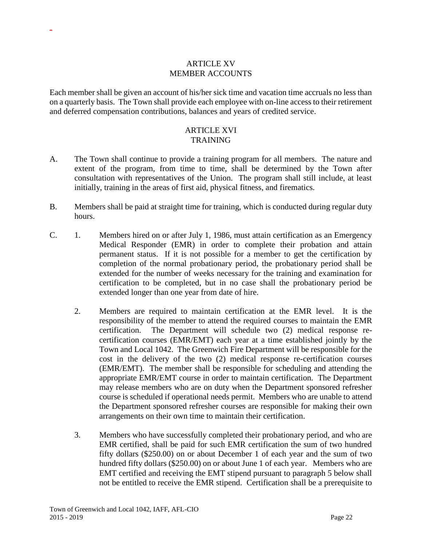#### ARTICLE XV MEMBER ACCOUNTS

-

Each member shall be given an account of his/her sick time and vacation time accruals no less than on a quarterly basis. The Town shall provide each employee with on-line access to their retirement and deferred compensation contributions, balances and years of credited service.

#### ARTICLE XVI TRAINING

- A. The Town shall continue to provide a training program for all members. The nature and extent of the program, from time to time, shall be determined by the Town after consultation with representatives of the Union. The program shall still include, at least initially, training in the areas of first aid, physical fitness, and firematics.
- B. Members shall be paid at straight time for training, which is conducted during regular duty hours.
- C. 1. Members hired on or after July 1, 1986, must attain certification as an Emergency Medical Responder (EMR) in order to complete their probation and attain permanent status. If it is not possible for a member to get the certification by completion of the normal probationary period, the probationary period shall be extended for the number of weeks necessary for the training and examination for certification to be completed, but in no case shall the probationary period be extended longer than one year from date of hire.
	- 2. Members are required to maintain certification at the EMR level. It is the responsibility of the member to attend the required courses to maintain the EMR certification. The Department will schedule two (2) medical response recertification courses (EMR/EMT) each year at a time established jointly by the Town and Local 1042. The Greenwich Fire Department will be responsible for the cost in the delivery of the two (2) medical response re-certification courses (EMR/EMT). The member shall be responsible for scheduling and attending the appropriate EMR/EMT course in order to maintain certification. The Department may release members who are on duty when the Department sponsored refresher course is scheduled if operational needs permit. Members who are unable to attend the Department sponsored refresher courses are responsible for making their own arrangements on their own time to maintain their certification.
	- 3. Members who have successfully completed their probationary period, and who are EMR certified, shall be paid for such EMR certification the sum of two hundred fifty dollars (\$250.00) on or about December 1 of each year and the sum of two hundred fifty dollars (\$250.00) on or about June 1 of each year. Members who are EMT certified and receiving the EMT stipend pursuant to paragraph 5 below shall not be entitled to receive the EMR stipend. Certification shall be a prerequisite to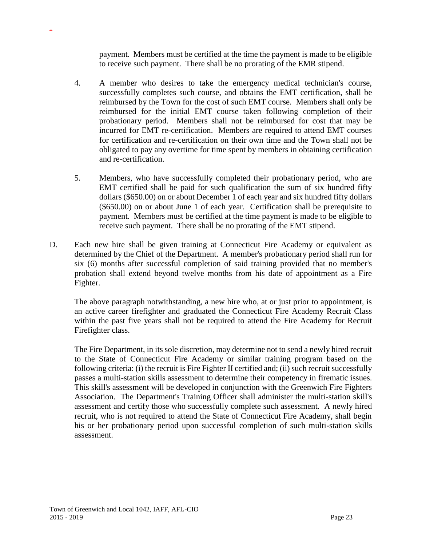payment. Members must be certified at the time the payment is made to be eligible to receive such payment. There shall be no prorating of the EMR stipend.

- 4. A member who desires to take the emergency medical technician's course, successfully completes such course, and obtains the EMT certification, shall be reimbursed by the Town for the cost of such EMT course. Members shall only be reimbursed for the initial EMT course taken following completion of their probationary period. Members shall not be reimbursed for cost that may be incurred for EMT re-certification. Members are required to attend EMT courses for certification and re-certification on their own time and the Town shall not be obligated to pay any overtime for time spent by members in obtaining certification and re-certification.
- 5. Members, who have successfully completed their probationary period, who are EMT certified shall be paid for such qualification the sum of six hundred fifty dollars (\$650.00) on or about December 1 of each year and six hundred fifty dollars (\$650.00) on or about June 1 of each year. Certification shall be prerequisite to payment. Members must be certified at the time payment is made to be eligible to receive such payment. There shall be no prorating of the EMT stipend.
- D. Each new hire shall be given training at Connecticut Fire Academy or equivalent as determined by the Chief of the Department. A member's probationary period shall run for six (6) months after successful completion of said training provided that no member's probation shall extend beyond twelve months from his date of appointment as a Fire Fighter.

The above paragraph notwithstanding, a new hire who, at or just prior to appointment, is an active career firefighter and graduated the Connecticut Fire Academy Recruit Class within the past five years shall not be required to attend the Fire Academy for Recruit Firefighter class.

The Fire Department, in its sole discretion, may determine not to send a newly hired recruit to the State of Connecticut Fire Academy or similar training program based on the following criteria: (i) the recruit is Fire Fighter II certified and; (ii) such recruit successfully passes a multi-station skills assessment to determine their competency in firematic issues. This skill's assessment will be developed in conjunction with the Greenwich Fire Fighters Association. The Department's Training Officer shall administer the multi-station skill's assessment and certify those who successfully complete such assessment. A newly hired recruit, who is not required to attend the State of Connecticut Fire Academy, shall begin his or her probationary period upon successful completion of such multi-station skills assessment.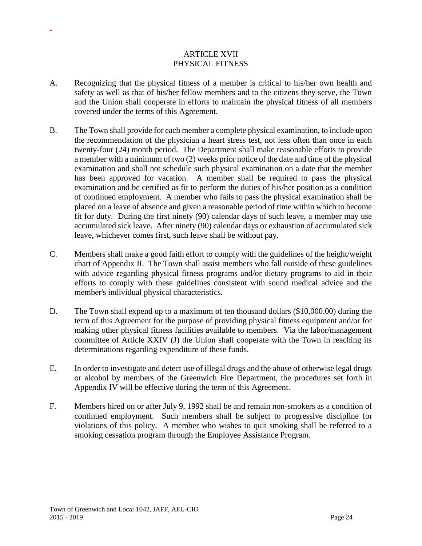### ARTICLE XVII PHYSICAL FITNESS

- A. Recognizing that the physical fitness of a member is critical to his/her own health and safety as well as that of his/her fellow members and to the citizens they serve, the Town and the Union shall cooperate in efforts to maintain the physical fitness of all members covered under the terms of this Agreement.
- B. The Town shall provide for each member a complete physical examination, to include upon the recommendation of the physician a heart stress test, not less often than once in each twenty-four (24) month period. The Department shall make reasonable efforts to provide a member with a minimum of two (2) weeks prior notice of the date and time of the physical examination and shall not schedule such physical examination on a date that the member has been approved for vacation. A member shall be required to pass the physical examination and be certified as fit to perform the duties of his/her position as a condition of continued employment. A member who fails to pass the physical examination shall be placed on a leave of absence and given a reasonable period of time within which to become fit for duty. During the first ninety (90) calendar days of such leave, a member may use accumulated sick leave. After ninety (90) calendar days or exhaustion of accumulated sick leave, whichever comes first, such leave shall be without pay.
- C. Members shall make a good faith effort to comply with the guidelines of the height/weight chart of Appendix II. The Town shall assist members who fall outside of these guidelines with advice regarding physical fitness programs and/or dietary programs to aid in their efforts to comply with these guidelines consistent with sound medical advice and the member's individual physical characteristics.
- D. The Town shall expend up to a maximum of ten thousand dollars (\$10,000.00) during the term of this Agreement for the purpose of providing physical fitness equipment and/or for making other physical fitness facilities available to members. Via the labor/management committee of Article XXIV (J) the Union shall cooperate with the Town in reaching its determinations regarding expenditure of these funds.
- E. In order to investigate and detect use of illegal drugs and the abuse of otherwise legal drugs or alcohol by members of the Greenwich Fire Department, the procedures set forth in Appendix IV will be effective during the term of this Agreement.
- F. Members hired on or after July 9, 1992 shall be and remain non-smokers as a condition of continued employment. Such members shall be subject to progressive discipline for violations of this policy. A member who wishes to quit smoking shall be referred to a smoking cessation program through the Employee Assistance Program.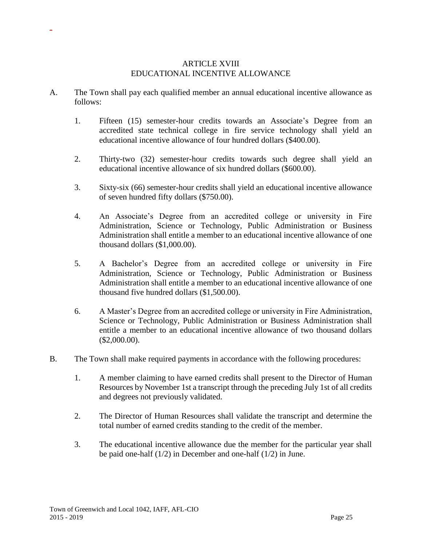#### ARTICLE XVIII EDUCATIONAL INCENTIVE ALLOWANCE

- A. The Town shall pay each qualified member an annual educational incentive allowance as follows:
	- 1. Fifteen (15) semester-hour credits towards an Associate's Degree from an accredited state technical college in fire service technology shall yield an educational incentive allowance of four hundred dollars (\$400.00).
	- 2. Thirty-two (32) semester-hour credits towards such degree shall yield an educational incentive allowance of six hundred dollars (\$600.00).
	- 3. Sixty-six (66) semester-hour credits shall yield an educational incentive allowance of seven hundred fifty dollars (\$750.00).
	- 4. An Associate's Degree from an accredited college or university in Fire Administration, Science or Technology, Public Administration or Business Administration shall entitle a member to an educational incentive allowance of one thousand dollars (\$1,000.00).
	- 5. A Bachelor's Degree from an accredited college or university in Fire Administration, Science or Technology, Public Administration or Business Administration shall entitle a member to an educational incentive allowance of one thousand five hundred dollars (\$1,500.00).
	- 6. A Master's Degree from an accredited college or university in Fire Administration, Science or Technology, Public Administration or Business Administration shall entitle a member to an educational incentive allowance of two thousand dollars (\$2,000.00).
- B. The Town shall make required payments in accordance with the following procedures:
	- 1. A member claiming to have earned credits shall present to the Director of Human Resources by November 1st a transcript through the preceding July 1st of all credits and degrees not previously validated.
	- 2. The Director of Human Resources shall validate the transcript and determine the total number of earned credits standing to the credit of the member.
	- 3. The educational incentive allowance due the member for the particular year shall be paid one-half (1/2) in December and one-half (1/2) in June.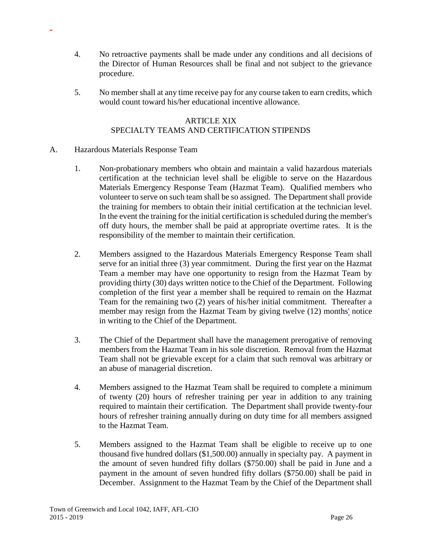- 4. No retroactive payments shall be made under any conditions and all decisions of the Director of Human Resources shall be final and not subject to the grievance procedure.
- 5. No member shall at any time receive pay for any course taken to earn credits, which would count toward his/her educational incentive allowance.

## ARTICLE XIX SPECIALTY TEAMS AND CERTIFICATION STIPENDS

#### A. Hazardous Materials Response Team

- 1. Non-probationary members who obtain and maintain a valid hazardous materials certification at the technician level shall be eligible to serve on the Hazardous Materials Emergency Response Team (Hazmat Team). Qualified members who volunteer to serve on such team shall be so assigned. The Department shall provide the training for members to obtain their initial certification at the technician level. In the event the training for the initial certification is scheduled during the member's off duty hours, the member shall be paid at appropriate overtime rates. It is the responsibility of the member to maintain their certification.
- 2. Members assigned to the Hazardous Materials Emergency Response Team shall serve for an initial three (3) year commitment. During the first year on the Hazmat Team a member may have one opportunity to resign from the Hazmat Team by providing thirty (30) days written notice to the Chief of the Department. Following completion of the first year a member shall be required to remain on the Hazmat Team for the remaining two (2) years of his/her initial commitment. Thereafter a member may resign from the Hazmat Team by giving twelve (12) months' notice in writing to the Chief of the Department.
- 3. The Chief of the Department shall have the management prerogative of removing members from the Hazmat Team in his sole discretion. Removal from the Hazmat Team shall not be grievable except for a claim that such removal was arbitrary or an abuse of managerial discretion.
- 4. Members assigned to the Hazmat Team shall be required to complete a minimum of twenty (20) hours of refresher training per year in addition to any training required to maintain their certification. The Department shall provide twenty-four hours of refresher training annually during on duty time for all members assigned to the Hazmat Team.
- 5. Members assigned to the Hazmat Team shall be eligible to receive up to one thousand five hundred dollars (\$1,500.00) annually in specialty pay. A payment in the amount of seven hundred fifty dollars (\$750.00) shall be paid in June and a payment in the amount of seven hundred fifty dollars (\$750.00) shall be paid in December. Assignment to the Hazmat Team by the Chief of the Department shall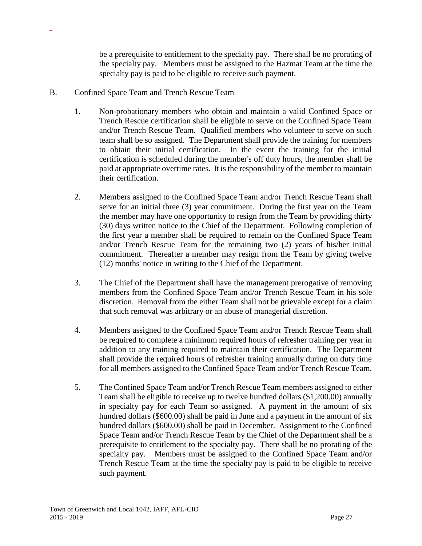be a prerequisite to entitlement to the specialty pay. There shall be no prorating of the specialty pay. Members must be assigned to the Hazmat Team at the time the specialty pay is paid to be eligible to receive such payment.

B. Confined Space Team and Trench Rescue Team

- 1. Non-probationary members who obtain and maintain a valid Confined Space or Trench Rescue certification shall be eligible to serve on the Confined Space Team and/or Trench Rescue Team. Qualified members who volunteer to serve on such team shall be so assigned. The Department shall provide the training for members to obtain their initial certification. In the event the training for the initial certification is scheduled during the member's off duty hours, the member shall be paid at appropriate overtime rates. It is the responsibility of the member to maintain their certification.
- 2. Members assigned to the Confined Space Team and/or Trench Rescue Team shall serve for an initial three (3) year commitment. During the first year on the Team the member may have one opportunity to resign from the Team by providing thirty (30) days written notice to the Chief of the Department. Following completion of the first year a member shall be required to remain on the Confined Space Team and/or Trench Rescue Team for the remaining two (2) years of his/her initial commitment. Thereafter a member may resign from the Team by giving twelve (12) months' notice in writing to the Chief of the Department.
- 3. The Chief of the Department shall have the management prerogative of removing members from the Confined Space Team and/or Trench Rescue Team in his sole discretion. Removal from the either Team shall not be grievable except for a claim that such removal was arbitrary or an abuse of managerial discretion.
- 4. Members assigned to the Confined Space Team and/or Trench Rescue Team shall be required to complete a minimum required hours of refresher training per year in addition to any training required to maintain their certification. The Department shall provide the required hours of refresher training annually during on duty time for all members assigned to the Confined Space Team and/or Trench Rescue Team.
- 5. The Confined Space Team and/or Trench Rescue Team members assigned to either Team shall be eligible to receive up to twelve hundred dollars (\$1,200.00) annually in specialty pay for each Team so assigned. A payment in the amount of six hundred dollars (\$600.00) shall be paid in June and a payment in the amount of six hundred dollars (\$600.00) shall be paid in December. Assignment to the Confined Space Team and/or Trench Rescue Team by the Chief of the Department shall be a prerequisite to entitlement to the specialty pay. There shall be no prorating of the specialty pay. Members must be assigned to the Confined Space Team and/or Trench Rescue Team at the time the specialty pay is paid to be eligible to receive such payment.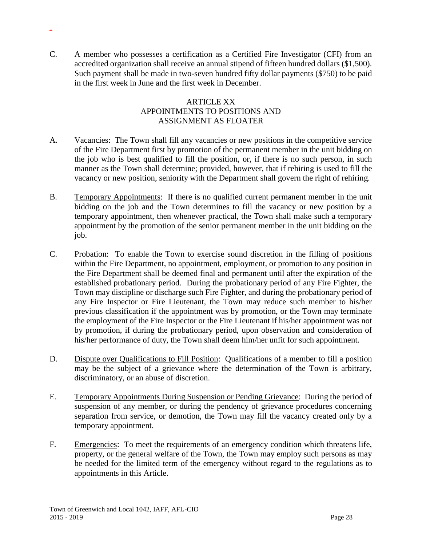C. A member who possesses a certification as a Certified Fire Investigator (CFI) from an accredited organization shall receive an annual stipend of fifteen hundred dollars (\$1,500). Such payment shall be made in two-seven hundred fifty dollar payments (\$750) to be paid in the first week in June and the first week in December.

-

### **ARTICLE XX** APPOINTMENTS TO POSITIONS AND ASSIGNMENT AS FLOATER

- A. Vacancies: The Town shall fill any vacancies or new positions in the competitive service of the Fire Department first by promotion of the permanent member in the unit bidding on the job who is best qualified to fill the position, or, if there is no such person, in such manner as the Town shall determine; provided, however, that if rehiring is used to fill the vacancy or new position, seniority with the Department shall govern the right of rehiring.
- B. Temporary Appointments: If there is no qualified current permanent member in the unit bidding on the job and the Town determines to fill the vacancy or new position by a temporary appointment, then whenever practical, the Town shall make such a temporary appointment by the promotion of the senior permanent member in the unit bidding on the job.
- C. Probation: To enable the Town to exercise sound discretion in the filling of positions within the Fire Department, no appointment, employment, or promotion to any position in the Fire Department shall be deemed final and permanent until after the expiration of the established probationary period. During the probationary period of any Fire Fighter, the Town may discipline or discharge such Fire Fighter, and during the probationary period of any Fire Inspector or Fire Lieutenant, the Town may reduce such member to his/her previous classification if the appointment was by promotion, or the Town may terminate the employment of the Fire Inspector or the Fire Lieutenant if his/her appointment was not by promotion, if during the probationary period, upon observation and consideration of his/her performance of duty, the Town shall deem him/her unfit for such appointment.
- D. Dispute over Qualifications to Fill Position: Qualifications of a member to fill a position may be the subject of a grievance where the determination of the Town is arbitrary, discriminatory, or an abuse of discretion.
- E. Temporary Appointments During Suspension or Pending Grievance: During the period of suspension of any member, or during the pendency of grievance procedures concerning separation from service, or demotion, the Town may fill the vacancy created only by a temporary appointment.
- F. Emergencies: To meet the requirements of an emergency condition which threatens life, property, or the general welfare of the Town, the Town may employ such persons as may be needed for the limited term of the emergency without regard to the regulations as to appointments in this Article.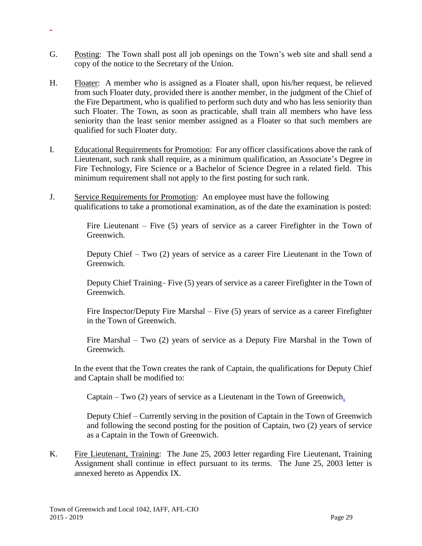G. Posting: The Town shall post all job openings on the Town's web site and shall send a copy of the notice to the Secretary of the Union.

-

- H. Floater: A member who is assigned as a Floater shall, upon his/her request, be relieved from such Floater duty, provided there is another member, in the judgment of the Chief of the Fire Department, who is qualified to perform such duty and who has less seniority than such Floater. The Town, as soon as practicable, shall train all members who have less seniority than the least senior member assigned as a Floater so that such members are qualified for such Floater duty.
- I. Educational Requirements for Promotion: For any officer classifications above the rank of Lieutenant, such rank shall require, as a minimum qualification, an Associate's Degree in Fire Technology, Fire Science or a Bachelor of Science Degree in a related field. This minimum requirement shall not apply to the first posting for such rank.
- J. Service Requirements for Promotion: An employee must have the following qualifications to take a promotional examination, as of the date the examination is posted:

Fire Lieutenant – Five (5) years of service as a career Firefighter in the Town of Greenwich.

Deputy Chief – Two (2) years of service as a career Fire Lieutenant in the Town of Greenwich.

Deputy Chief Training– Five (5) years of service as a career Firefighter in the Town of Greenwich.

Fire Inspector/Deputy Fire Marshal – Five (5) years of service as a career Firefighter in the Town of Greenwich.

Fire Marshal – Two (2) years of service as a Deputy Fire Marshal in the Town of Greenwich.

In the event that the Town creates the rank of Captain, the qualifications for Deputy Chief and Captain shall be modified to:

Captain – Two (2) years of service as a Lieutenant in the Town of Greenwich.

Deputy Chief – Currently serving in the position of Captain in the Town of Greenwich and following the second posting for the position of Captain, two (2) years of service as a Captain in the Town of Greenwich.

K. Fire Lieutenant, Training: The June 25, 2003 letter regarding Fire Lieutenant, Training Assignment shall continue in effect pursuant to its terms. The June 25, 2003 letter is annexed hereto as Appendix IX.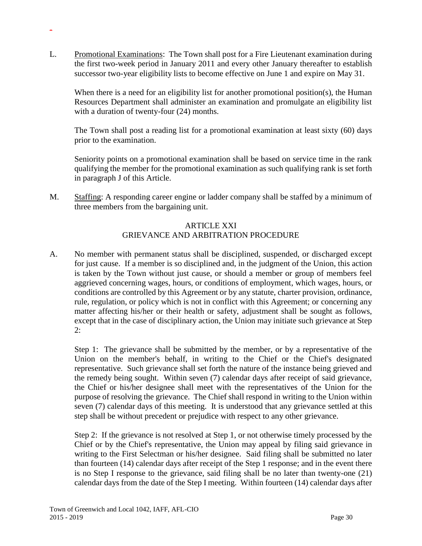L. Promotional Examinations: The Town shall post for a Fire Lieutenant examination during the first two-week period in January 2011 and every other January thereafter to establish successor two-year eligibility lists to become effective on June 1 and expire on May 31.

-

When there is a need for an eligibility list for another promotional position(s), the Human Resources Department shall administer an examination and promulgate an eligibility list with a duration of twenty-four (24) months.

The Town shall post a reading list for a promotional examination at least sixty (60) days prior to the examination.

Seniority points on a promotional examination shall be based on service time in the rank qualifying the member for the promotional examination as such qualifying rank is set forth in paragraph J of this Article.

M. Staffing: A responding career engine or ladder company shall be staffed by a minimum of three members from the bargaining unit.

### ARTICLE XXI GRIEVANCE AND ARBITRATION PROCEDURE

A. No member with permanent status shall be disciplined, suspended, or discharged except for just cause. If a member is so disciplined and, in the judgment of the Union, this action is taken by the Town without just cause, or should a member or group of members feel aggrieved concerning wages, hours, or conditions of employment, which wages, hours, or conditions are controlled by this Agreement or by any statute, charter provision, ordinance, rule, regulation, or policy which is not in conflict with this Agreement; or concerning any matter affecting his/her or their health or safety, adjustment shall be sought as follows, except that in the case of disciplinary action, the Union may initiate such grievance at Step  $2:$ 

Step 1: The grievance shall be submitted by the member, or by a representative of the Union on the member's behalf, in writing to the Chief or the Chief's designated representative. Such grievance shall set forth the nature of the instance being grieved and the remedy being sought. Within seven (7) calendar days after receipt of said grievance, the Chief or his/her designee shall meet with the representatives of the Union for the purpose of resolving the grievance. The Chief shall respond in writing to the Union within seven (7) calendar days of this meeting. It is understood that any grievance settled at this step shall be without precedent or prejudice with respect to any other grievance.

Step 2: If the grievance is not resolved at Step 1, or not otherwise timely processed by the Chief or by the Chief's representative, the Union may appeal by filing said grievance in writing to the First Selectman or his/her designee. Said filing shall be submitted no later than fourteen (14) calendar days after receipt of the Step 1 response; and in the event there is no Step I response to the grievance, said filing shall be no later than twenty-one (21) calendar days from the date of the Step I meeting. Within fourteen (14) calendar days after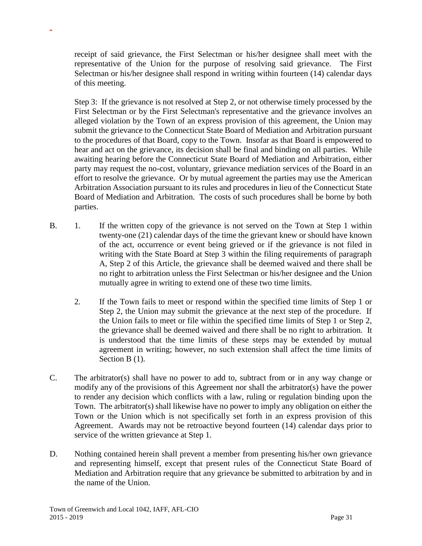receipt of said grievance, the First Selectman or his/her designee shall meet with the representative of the Union for the purpose of resolving said grievance. The First Selectman or his/her designee shall respond in writing within fourteen (14) calendar days of this meeting.

Step 3: If the grievance is not resolved at Step 2, or not otherwise timely processed by the First Selectman or by the First Selectman's representative and the grievance involves an alleged violation by the Town of an express provision of this agreement, the Union may submit the grievance to the Connecticut State Board of Mediation and Arbitration pursuant to the procedures of that Board, copy to the Town. Insofar as that Board is empowered to hear and act on the grievance, its decision shall be final and binding on all parties. While awaiting hearing before the Connecticut State Board of Mediation and Arbitration, either party may request the no-cost, voluntary, grievance mediation services of the Board in an effort to resolve the grievance. Or by mutual agreement the parties may use the American Arbitration Association pursuant to its rules and procedures in lieu of the Connecticut State Board of Mediation and Arbitration. The costs of such procedures shall be borne by both parties.

- B. 1. If the written copy of the grievance is not served on the Town at Step 1 within twenty-one (21) calendar days of the time the grievant knew or should have known of the act, occurrence or event being grieved or if the grievance is not filed in writing with the State Board at Step 3 within the filing requirements of paragraph A, Step 2 of this Article, the grievance shall be deemed waived and there shall be no right to arbitration unless the First Selectman or his/her designee and the Union mutually agree in writing to extend one of these two time limits.
	- 2. If the Town fails to meet or respond within the specified time limits of Step 1 or Step 2, the Union may submit the grievance at the next step of the procedure. If the Union fails to meet or file within the specified time limits of Step 1 or Step 2, the grievance shall be deemed waived and there shall be no right to arbitration. It is understood that the time limits of these steps may be extended by mutual agreement in writing; however, no such extension shall affect the time limits of Section B  $(1)$ .
- C. The arbitrator(s) shall have no power to add to, subtract from or in any way change or modify any of the provisions of this Agreement nor shall the arbitrator(s) have the power to render any decision which conflicts with a law, ruling or regulation binding upon the Town. The arbitrator(s) shall likewise have no power to imply any obligation on either the Town or the Union which is not specifically set forth in an express provision of this Agreement. Awards may not be retroactive beyond fourteen (14) calendar days prior to service of the written grievance at Step 1.
- D. Nothing contained herein shall prevent a member from presenting his/her own grievance and representing himself, except that present rules of the Connecticut State Board of Mediation and Arbitration require that any grievance be submitted to arbitration by and in the name of the Union.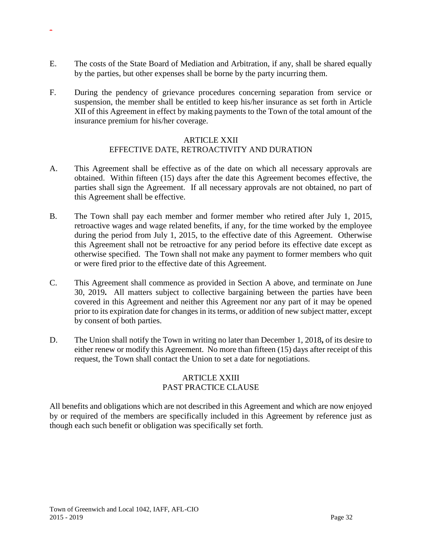E. The costs of the State Board of Mediation and Arbitration, if any, shall be shared equally by the parties, but other expenses shall be borne by the party incurring them.

-

F. During the pendency of grievance procedures concerning separation from service or suspension, the member shall be entitled to keep his/her insurance as set forth in Article XII of this Agreement in effect by making payments to the Town of the total amount of the insurance premium for his/her coverage.

#### ARTICLE XXII EFFECTIVE DATE, RETROACTIVITY AND DURATION

- A. This Agreement shall be effective as of the date on which all necessary approvals are obtained. Within fifteen (15) days after the date this Agreement becomes effective, the parties shall sign the Agreement. If all necessary approvals are not obtained, no part of this Agreement shall be effective.
- B. The Town shall pay each member and former member who retired after July 1, 2015, retroactive wages and wage related benefits, if any, for the time worked by the employee during the period from July 1, 2015, to the effective date of this Agreement. Otherwise this Agreement shall not be retroactive for any period before its effective date except as otherwise specified. The Town shall not make any payment to former members who quit or were fired prior to the effective date of this Agreement.
- C. This Agreement shall commence as provided in Section A above, and terminate on June 30, 2019**.** All matters subject to collective bargaining between the parties have been covered in this Agreement and neither this Agreement nor any part of it may be opened prior to its expiration date for changes in its terms, or addition of new subject matter, except by consent of both parties.
- D. The Union shall notify the Town in writing no later than December 1, 2018**,** of its desire to either renew or modify this Agreement. No more than fifteen (15) days after receipt of this request, the Town shall contact the Union to set a date for negotiations.

### ARTICLE XXIII PAST PRACTICE CLAUSE

All benefits and obligations which are not described in this Agreement and which are now enjoyed by or required of the members are specifically included in this Agreement by reference just as though each such benefit or obligation was specifically set forth.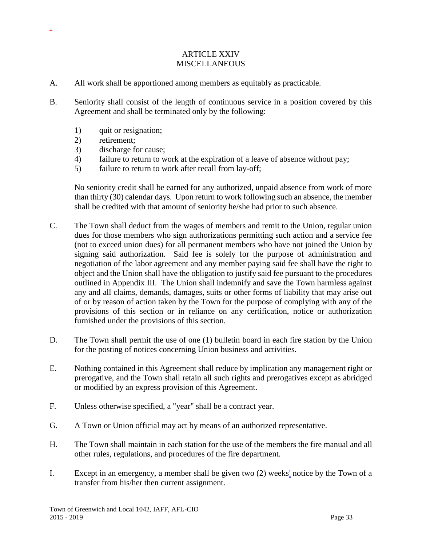### ARTICLE XXIV **MISCELLANEOUS**

- A. All work shall be apportioned among members as equitably as practicable.
- B. Seniority shall consist of the length of continuous service in a position covered by this Agreement and shall be terminated only by the following:
	- 1) quit or resignation;
	- 2) retirement;

-

- 3) discharge for cause;
- 4) failure to return to work at the expiration of a leave of absence without pay;
- 5) failure to return to work after recall from lay-off;

No seniority credit shall be earned for any authorized, unpaid absence from work of more than thirty (30) calendar days. Upon return to work following such an absence, the member shall be credited with that amount of seniority he/she had prior to such absence.

- C. The Town shall deduct from the wages of members and remit to the Union, regular union dues for those members who sign authorizations permitting such action and a service fee (not to exceed union dues) for all permanent members who have not joined the Union by signing said authorization. Said fee is solely for the purpose of administration and negotiation of the labor agreement and any member paying said fee shall have the right to object and the Union shall have the obligation to justify said fee pursuant to the procedures outlined in Appendix III. The Union shall indemnify and save the Town harmless against any and all claims, demands, damages, suits or other forms of liability that may arise out of or by reason of action taken by the Town for the purpose of complying with any of the provisions of this section or in reliance on any certification, notice or authorization furnished under the provisions of this section.
- D. The Town shall permit the use of one (1) bulletin board in each fire station by the Union for the posting of notices concerning Union business and activities.
- E. Nothing contained in this Agreement shall reduce by implication any management right or prerogative, and the Town shall retain all such rights and prerogatives except as abridged or modified by an express provision of this Agreement.
- F. Unless otherwise specified, a "year" shall be a contract year.
- G. A Town or Union official may act by means of an authorized representative.
- H. The Town shall maintain in each station for the use of the members the fire manual and all other rules, regulations, and procedures of the fire department.
- I. Except in an emergency, a member shall be given two (2) weeks' notice by the Town of a transfer from his/her then current assignment.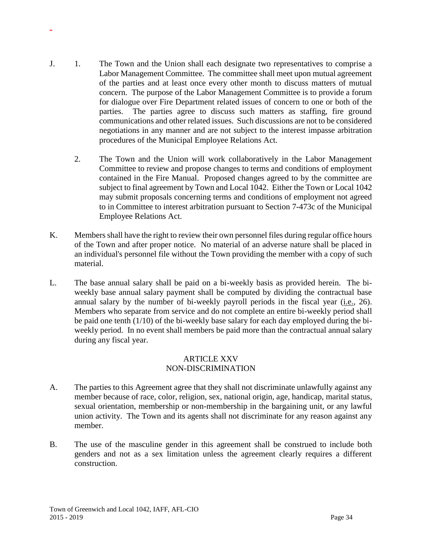- J. 1. The Town and the Union shall each designate two representatives to comprise a Labor Management Committee. The committee shall meet upon mutual agreement of the parties and at least once every other month to discuss matters of mutual concern. The purpose of the Labor Management Committee is to provide a forum for dialogue over Fire Department related issues of concern to one or both of the parties. The parties agree to discuss such matters as staffing, fire ground communications and other related issues. Such discussions are not to be considered negotiations in any manner and are not subject to the interest impasse arbitration procedures of the Municipal Employee Relations Act.
	- 2. The Town and the Union will work collaboratively in the Labor Management Committee to review and propose changes to terms and conditions of employment contained in the Fire Manual. Proposed changes agreed to by the committee are subject to final agreement by Town and Local 1042. Either the Town or Local 1042 may submit proposals concerning terms and conditions of employment not agreed to in Committee to interest arbitration pursuant to Section 7-473c of the Municipal Employee Relations Act.
- K. Members shall have the right to review their own personnel files during regular office hours of the Town and after proper notice. No material of an adverse nature shall be placed in an individual's personnel file without the Town providing the member with a copy of such material.
- L. The base annual salary shall be paid on a bi-weekly basis as provided herein. The biweekly base annual salary payment shall be computed by dividing the contractual base annual salary by the number of bi-weekly payroll periods in the fiscal year (i.e., 26). Members who separate from service and do not complete an entire bi-weekly period shall be paid one tenth (1/10) of the bi-weekly base salary for each day employed during the biweekly period. In no event shall members be paid more than the contractual annual salary during any fiscal year.

#### ARTICLE XXV NON-DISCRIMINATION

- A. The parties to this Agreement agree that they shall not discriminate unlawfully against any member because of race, color, religion, sex, national origin, age, handicap, marital status, sexual orientation, membership or non-membership in the bargaining unit, or any lawful union activity. The Town and its agents shall not discriminate for any reason against any member.
- B. The use of the masculine gender in this agreement shall be construed to include both genders and not as a sex limitation unless the agreement clearly requires a different construction.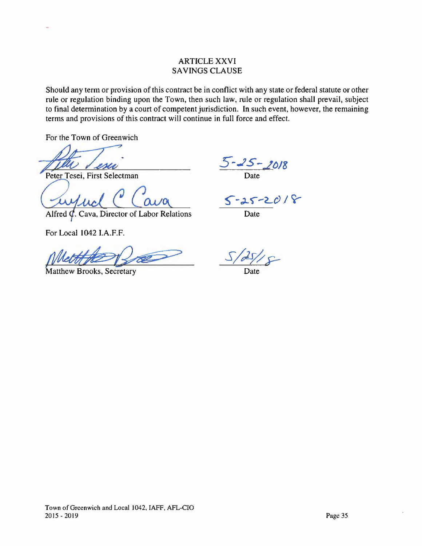### ARTICLE XXVI SAVINGS CLAUSE

Should any term or provision of this contract be in conflict with any state or federal statute or other rule or regulation binding upon the Town, then such law, rule or regulation shall prevail, subject to final determination by a court of competent jurisdiction. In such event, however, the remaining terms and provisions of this contract will continue in full force and effect.

For the Town of Greenwich

Peter Tesei, First Selectman

Alfred  $\phi$ . Cava, Director of Labor Relations

For Local 1042 I.A.F.F.

Matthew Brooks, Secretary

5-25-2018 Date

 $5 - 25 - 2018$ 

Date

*S/Pt{p-*

Date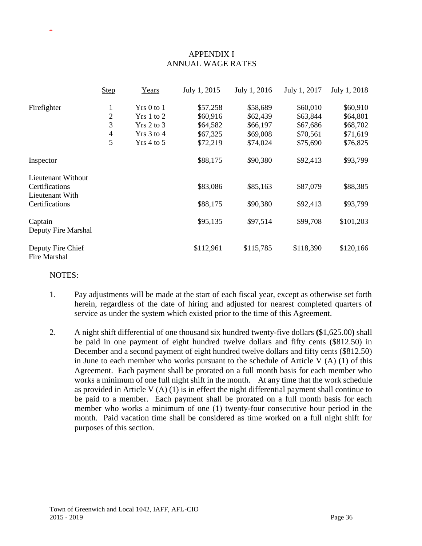# APPENDIX I ANNUAL WAGE RATES

|                                                         | <b>Step</b>    | Years        | July 1, 2015 | July 1, 2016 | July 1, 2017 | July 1, 2018 |
|---------------------------------------------------------|----------------|--------------|--------------|--------------|--------------|--------------|
| Firefighter                                             | $\mathbf{1}$   | $Yrs0$ to 1  | \$57,258     | \$58,689     | \$60,010     | \$60,910     |
|                                                         | $\overline{2}$ | $Yrs1$ to 2  | \$60,916     | \$62,439     | \$63,844     | \$64,801     |
|                                                         | 3              | $Yrs$ 2 to 3 | \$64,582     | \$66,197     | \$67,686     | \$68,702     |
|                                                         | $\overline{4}$ | $Yrs$ 3 to 4 | \$67,325     | \$69,008     | \$70,561     | \$71,619     |
|                                                         | 5              | $Yrs$ 4 to 5 | \$72,219     | \$74,024     | \$75,690     | \$76,825     |
| Inspector                                               |                |              | \$88,175     | \$90,380     | \$92,413     | \$93,799     |
| Lieutenant Without<br>Certifications<br>Lieutenant With |                |              | \$83,086     | \$85,163     | \$87,079     | \$88,385     |
| Certifications                                          |                |              | \$88,175     | \$90,380     | \$92,413     | \$93,799     |
| Captain<br>Deputy Fire Marshal                          |                |              | \$95,135     | \$97,514     | \$99,708     | \$101,203    |
| Deputy Fire Chief<br>Fire Marshal                       |                |              | \$112,961    | \$115,785    | \$118,390    | \$120,166    |

#### NOTES:

- 1. Pay adjustments will be made at the start of each fiscal year, except as otherwise set forth herein, regardless of the date of hiring and adjusted for nearest completed quarters of service as under the system which existed prior to the time of this Agreement.
- 2. A night shift differential of one thousand six hundred twenty-five dollars **(\$**1,625.00**)** shall be paid in one payment of eight hundred twelve dollars and fifty cents (\$812.50) in December and a second payment of eight hundred twelve dollars and fifty cents (\$812.50) in June to each member who works pursuant to the schedule of Article V (A) (1) of this Agreement. Each payment shall be prorated on a full month basis for each member who works a minimum of one full night shift in the month. At any time that the work schedule as provided in Article V (A) (1) is in effect the night differential payment shall continue to be paid to a member. Each payment shall be prorated on a full month basis for each member who works a minimum of one (1) twenty-four consecutive hour period in the month. Paid vacation time shall be considered as time worked on a full night shift for purposes of this section.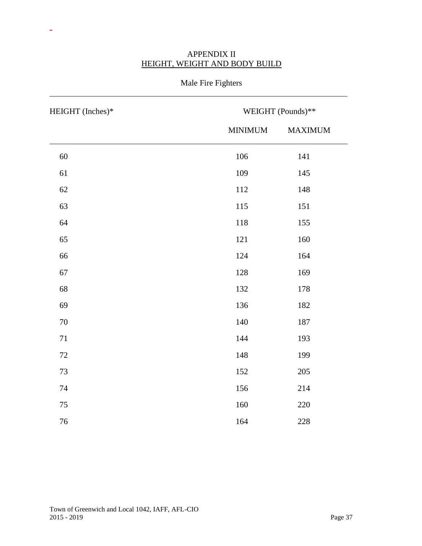| HEIGHT (Inches)* | WEIGHT (Pounds)** |         |  |
|------------------|-------------------|---------|--|
|                  | <b>MINIMUM</b>    | MAXIMUM |  |
| $60\,$           | 106               | 141     |  |
| 61               | 109               | 145     |  |
| 62               | 112               | 148     |  |
| 63               | 115               | 151     |  |
| 64               | 118               | 155     |  |
| 65               | 121               | 160     |  |
| 66               | 124               | 164     |  |
| 67               | 128               | 169     |  |
| 68               | 132               | 178     |  |
| 69               | 136               | 182     |  |
| 70               | 140               | 187     |  |
| $71\,$           | 144               | 193     |  |
| $72\,$           | 148               | 199     |  |
| 73               | 152               | 205     |  |
| 74               | 156               | 214     |  |
| 75               | 160               | 220     |  |
| $76\,$           | 164               | 228     |  |

# APPENDIX II HEIGHT, WEIGHT AND BODY BUILD

Male Fire Fighters

-

 $\overline{a}$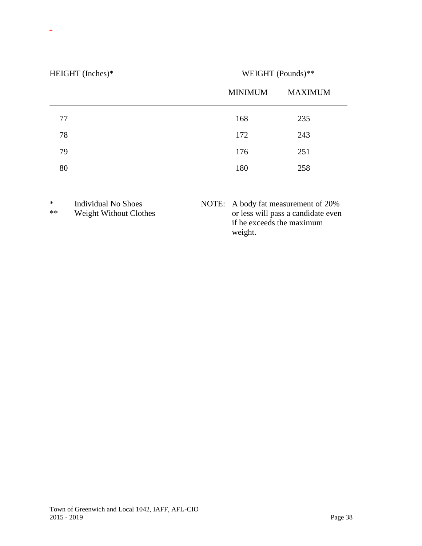| HEIGHT (Inches)* | WEIGHT (Pounds)** |                |
|------------------|-------------------|----------------|
|                  | <b>MINIMUM</b>    | <b>MAXIMUM</b> |
| 77               | 168               | 235            |
| 78               | 172               | 243            |
| 79               | 176               | 251            |
| 80               | 180               | 258            |
|                  |                   |                |

-

 $\overline{a}$ 

| $\ast$<br>** | Individual No Shoes<br>Weight Without Clothes | NOTE: A body fat measurement of 20%<br>or less will pass a candidate even<br>if he exceeds the maximum<br>weight. |
|--------------|-----------------------------------------------|-------------------------------------------------------------------------------------------------------------------|
|              |                                               |                                                                                                                   |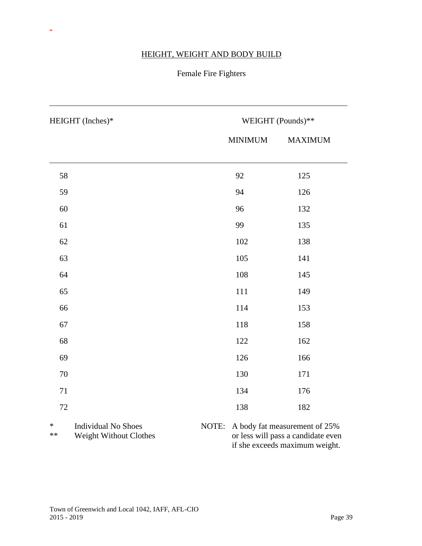# HEIGHT, WEIGHT AND BODY BUILD

-

 $\overline{a}$ 

# Female Fire Fighters

| HEIGHT (Inches)* |                                                      |       | WEIGHT (Pounds)** |                                                                     |  |
|------------------|------------------------------------------------------|-------|-------------------|---------------------------------------------------------------------|--|
|                  |                                                      |       | <b>MINIMUM</b>    | <b>MAXIMUM</b>                                                      |  |
|                  |                                                      |       |                   |                                                                     |  |
| 58               |                                                      |       | 92                | 125                                                                 |  |
| 59               |                                                      |       | 94                | 126                                                                 |  |
| 60               |                                                      |       | 96                | 132                                                                 |  |
| 61               |                                                      |       | 99                | 135                                                                 |  |
| 62               |                                                      |       | 102               | 138                                                                 |  |
| 63               |                                                      |       | 105               | 141                                                                 |  |
| 64               |                                                      |       | 108               | 145                                                                 |  |
| 65               |                                                      |       | 111               | 149                                                                 |  |
| 66               |                                                      |       | 114               | 153                                                                 |  |
| 67               |                                                      |       | 118               | 158                                                                 |  |
| 68               |                                                      |       | 122               | 162                                                                 |  |
| 69               |                                                      |       | 126               | 166                                                                 |  |
| 70               |                                                      |       | 130               | 171                                                                 |  |
| 71               |                                                      |       | 134               | 176                                                                 |  |
| 72               |                                                      |       | 138               | 182                                                                 |  |
| $\ast$<br>**     | <b>Individual No Shoes</b><br>Weight Without Clothes | NOTE: |                   | A body fat measurement of 25%<br>or less will pass a candidate even |  |

if she exceeds maximum weight.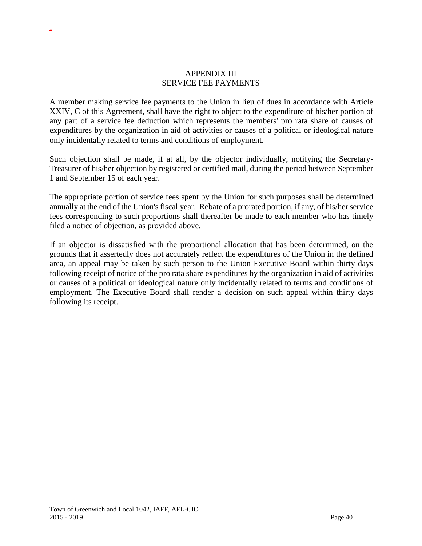### APPENDIX III SERVICE FEE PAYMENTS

A member making service fee payments to the Union in lieu of dues in accordance with Article XXIV, C of this Agreement, shall have the right to object to the expenditure of his/her portion of any part of a service fee deduction which represents the members' pro rata share of causes of expenditures by the organization in aid of activities or causes of a political or ideological nature only incidentally related to terms and conditions of employment.

Such objection shall be made, if at all, by the objector individually, notifying the Secretary-Treasurer of his/her objection by registered or certified mail, during the period between September 1 and September 15 of each year.

The appropriate portion of service fees spent by the Union for such purposes shall be determined annually at the end of the Union's fiscal year. Rebate of a prorated portion, if any, of his/her service fees corresponding to such proportions shall thereafter be made to each member who has timely filed a notice of objection, as provided above.

If an objector is dissatisfied with the proportional allocation that has been determined, on the grounds that it assertedly does not accurately reflect the expenditures of the Union in the defined area, an appeal may be taken by such person to the Union Executive Board within thirty days following receipt of notice of the pro rata share expenditures by the organization in aid of activities or causes of a political or ideological nature only incidentally related to terms and conditions of employment. The Executive Board shall render a decision on such appeal within thirty days following its receipt.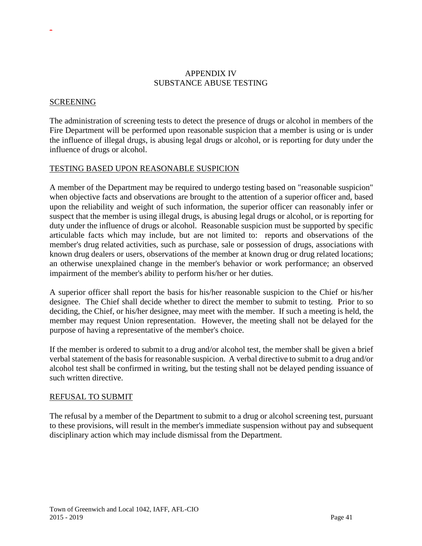### APPENDIX IV SUBSTANCE ABUSE TESTING

#### SCREENING

-

The administration of screening tests to detect the presence of drugs or alcohol in members of the Fire Department will be performed upon reasonable suspicion that a member is using or is under the influence of illegal drugs, is abusing legal drugs or alcohol, or is reporting for duty under the influence of drugs or alcohol.

#### TESTING BASED UPON REASONABLE SUSPICION

A member of the Department may be required to undergo testing based on "reasonable suspicion" when objective facts and observations are brought to the attention of a superior officer and, based upon the reliability and weight of such information, the superior officer can reasonably infer or suspect that the member is using illegal drugs, is abusing legal drugs or alcohol, or is reporting for duty under the influence of drugs or alcohol. Reasonable suspicion must be supported by specific articulable facts which may include, but are not limited to: reports and observations of the member's drug related activities, such as purchase, sale or possession of drugs, associations with known drug dealers or users, observations of the member at known drug or drug related locations; an otherwise unexplained change in the member's behavior or work performance; an observed impairment of the member's ability to perform his/her or her duties.

A superior officer shall report the basis for his/her reasonable suspicion to the Chief or his/her designee. The Chief shall decide whether to direct the member to submit to testing. Prior to so deciding, the Chief, or his/her designee, may meet with the member. If such a meeting is held, the member may request Union representation. However, the meeting shall not be delayed for the purpose of having a representative of the member's choice.

If the member is ordered to submit to a drug and/or alcohol test, the member shall be given a brief verbal statement of the basis for reasonable suspicion. A verbal directive to submit to a drug and/or alcohol test shall be confirmed in writing, but the testing shall not be delayed pending issuance of such written directive.

#### REFUSAL TO SUBMIT

The refusal by a member of the Department to submit to a drug or alcohol screening test, pursuant to these provisions, will result in the member's immediate suspension without pay and subsequent disciplinary action which may include dismissal from the Department.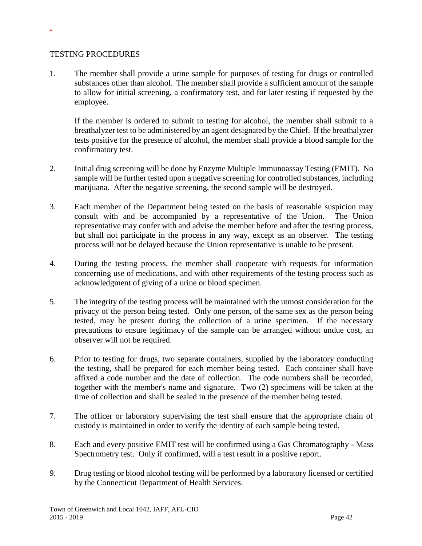#### TESTING PROCEDURES

-

1. The member shall provide a urine sample for purposes of testing for drugs or controlled substances other than alcohol. The member shall provide a sufficient amount of the sample to allow for initial screening, a confirmatory test, and for later testing if requested by the employee.

If the member is ordered to submit to testing for alcohol, the member shall submit to a breathalyzer test to be administered by an agent designated by the Chief. If the breathalyzer tests positive for the presence of alcohol, the member shall provide a blood sample for the confirmatory test.

- 2. Initial drug screening will be done by Enzyme Multiple Immunoassay Testing (EMIT). No sample will be further tested upon a negative screening for controlled substances, including marijuana. After the negative screening, the second sample will be destroyed.
- 3. Each member of the Department being tested on the basis of reasonable suspicion may consult with and be accompanied by a representative of the Union. The Union representative may confer with and advise the member before and after the testing process, but shall not participate in the process in any way, except as an observer. The testing process will not be delayed because the Union representative is unable to be present.
- 4. During the testing process, the member shall cooperate with requests for information concerning use of medications, and with other requirements of the testing process such as acknowledgment of giving of a urine or blood specimen.
- 5. The integrity of the testing process will be maintained with the utmost consideration for the privacy of the person being tested. Only one person, of the same sex as the person being tested, may be present during the collection of a urine specimen. If the necessary precautions to ensure legitimacy of the sample can be arranged without undue cost, an observer will not be required.
- 6. Prior to testing for drugs, two separate containers, supplied by the laboratory conducting the testing, shall be prepared for each member being tested. Each container shall have affixed a code number and the date of collection. The code numbers shall be recorded, together with the member's name and signature. Two (2) specimens will be taken at the time of collection and shall be sealed in the presence of the member being tested.
- 7. The officer or laboratory supervising the test shall ensure that the appropriate chain of custody is maintained in order to verify the identity of each sample being tested.
- 8. Each and every positive EMIT test will be confirmed using a Gas Chromatography Mass Spectrometry test. Only if confirmed, will a test result in a positive report.
- 9. Drug testing or blood alcohol testing will be performed by a laboratory licensed or certified by the Connecticut Department of Health Services.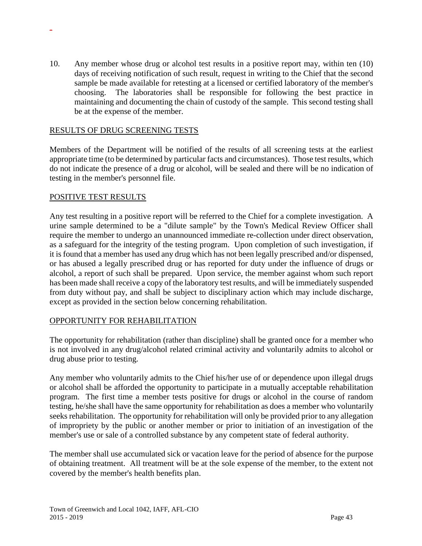10. Any member whose drug or alcohol test results in a positive report may, within ten (10) days of receiving notification of such result, request in writing to the Chief that the second sample be made available for retesting at a licensed or certified laboratory of the member's choosing. The laboratories shall be responsible for following the best practice in maintaining and documenting the chain of custody of the sample. This second testing shall be at the expense of the member.

#### RESULTS OF DRUG SCREENING TESTS

Members of the Department will be notified of the results of all screening tests at the earliest appropriate time (to be determined by particular facts and circumstances). Those test results, which do not indicate the presence of a drug or alcohol, will be sealed and there will be no indication of testing in the member's personnel file.

#### POSITIVE TEST RESULTS

-

Any test resulting in a positive report will be referred to the Chief for a complete investigation. A urine sample determined to be a "dilute sample" by the Town's Medical Review Officer shall require the member to undergo an unannounced immediate re-collection under direct observation, as a safeguard for the integrity of the testing program. Upon completion of such investigation, if it is found that a member has used any drug which has not been legally prescribed and/or dispensed, or has abused a legally prescribed drug or has reported for duty under the influence of drugs or alcohol, a report of such shall be prepared. Upon service, the member against whom such report has been made shall receive a copy of the laboratory test results, and will be immediately suspended from duty without pay, and shall be subject to disciplinary action which may include discharge, except as provided in the section below concerning rehabilitation.

### OPPORTUNITY FOR REHABILITATION

The opportunity for rehabilitation (rather than discipline) shall be granted once for a member who is not involved in any drug/alcohol related criminal activity and voluntarily admits to alcohol or drug abuse prior to testing.

Any member who voluntarily admits to the Chief his/her use of or dependence upon illegal drugs or alcohol shall be afforded the opportunity to participate in a mutually acceptable rehabilitation program. The first time a member tests positive for drugs or alcohol in the course of random testing, he/she shall have the same opportunity for rehabilitation as does a member who voluntarily seeks rehabilitation. The opportunity for rehabilitation will only be provided prior to any allegation of impropriety by the public or another member or prior to initiation of an investigation of the member's use or sale of a controlled substance by any competent state of federal authority.

The member shall use accumulated sick or vacation leave for the period of absence for the purpose of obtaining treatment. All treatment will be at the sole expense of the member, to the extent not covered by the member's health benefits plan.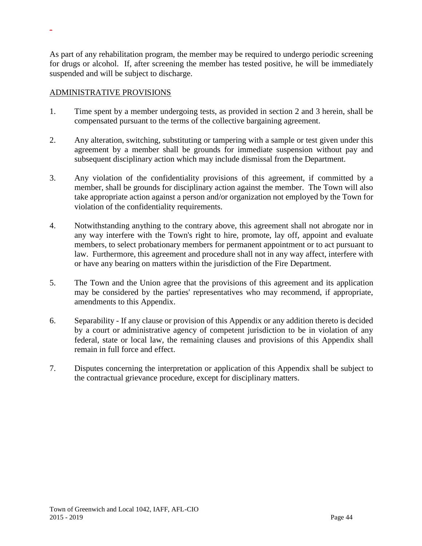As part of any rehabilitation program, the member may be required to undergo periodic screening for drugs or alcohol. If, after screening the member has tested positive, he will be immediately suspended and will be subject to discharge.

### ADMINISTRATIVE PROVISIONS

- 1. Time spent by a member undergoing tests, as provided in section 2 and 3 herein, shall be compensated pursuant to the terms of the collective bargaining agreement.
- 2. Any alteration, switching, substituting or tampering with a sample or test given under this agreement by a member shall be grounds for immediate suspension without pay and subsequent disciplinary action which may include dismissal from the Department.
- 3. Any violation of the confidentiality provisions of this agreement, if committed by a member, shall be grounds for disciplinary action against the member. The Town will also take appropriate action against a person and/or organization not employed by the Town for violation of the confidentiality requirements.
- 4. Notwithstanding anything to the contrary above, this agreement shall not abrogate nor in any way interfere with the Town's right to hire, promote, lay off, appoint and evaluate members, to select probationary members for permanent appointment or to act pursuant to law. Furthermore, this agreement and procedure shall not in any way affect, interfere with or have any bearing on matters within the jurisdiction of the Fire Department.
- 5. The Town and the Union agree that the provisions of this agreement and its application may be considered by the parties' representatives who may recommend, if appropriate, amendments to this Appendix.
- 6. Separability If any clause or provision of this Appendix or any addition thereto is decided by a court or administrative agency of competent jurisdiction to be in violation of any federal, state or local law, the remaining clauses and provisions of this Appendix shall remain in full force and effect.
- 7. Disputes concerning the interpretation or application of this Appendix shall be subject to the contractual grievance procedure, except for disciplinary matters.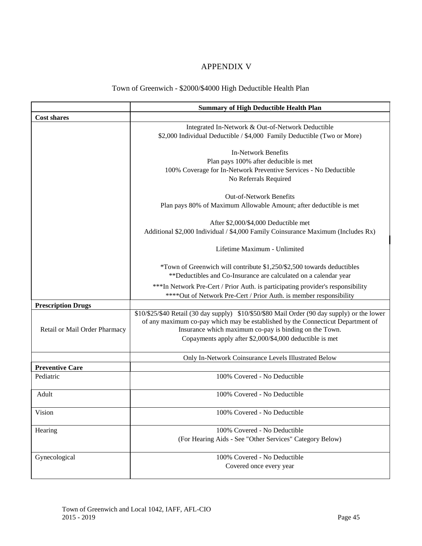# APPENDIX V

# Town of Greenwich - \$2000/\$4000 High Deductible Health Plan

|                               | <b>Summary of High Deductible Health Plan</b>                                                                                                                                                                                                                                                         |
|-------------------------------|-------------------------------------------------------------------------------------------------------------------------------------------------------------------------------------------------------------------------------------------------------------------------------------------------------|
| <b>Cost shares</b>            |                                                                                                                                                                                                                                                                                                       |
|                               | Integrated In-Network & Out-of-Network Deductible<br>\$2,000 Individual Deductible / \$4,000 Family Deductible (Two or More)                                                                                                                                                                          |
|                               | <b>In-Network Benefits</b><br>Plan pays 100% after deducible is met<br>100% Coverage for In-Network Preventive Services - No Deductible<br>No Referrals Required                                                                                                                                      |
|                               | Out-of-Network Benefits<br>Plan pays 80% of Maximum Allowable Amount; after deductible is met                                                                                                                                                                                                         |
|                               | After \$2,000/\$4,000 Deductible met<br>Additional \$2,000 Individual / \$4,000 Family Coinsurance Maximum (Includes Rx)                                                                                                                                                                              |
|                               | Lifetime Maximum - Unlimited                                                                                                                                                                                                                                                                          |
|                               | *Town of Greenwich will contribute \$1,250/\$2,500 towards deductibles<br>** Deductibles and Co-Insurance are calculated on a calendar year                                                                                                                                                           |
|                               | *** In Network Pre-Cert / Prior Auth. is participating provider's responsibility<br>**** Out of Network Pre-Cert / Prior Auth. is member responsibility                                                                                                                                               |
| <b>Prescription Drugs</b>     |                                                                                                                                                                                                                                                                                                       |
| Retail or Mail Order Pharmacy | \$10/\$25/\$40 Retail (30 day supply) \$10/\$50/\$80 Mail Order (90 day supply) or the lower<br>of any maximum co-pay which may be established by the Connecticut Department of<br>Insurance which maximum co-pay is binding on the Town.<br>Copayments apply after \$2,000/\$4,000 deductible is met |
|                               | Only In-Network Coinsurance Levels Illustrated Below                                                                                                                                                                                                                                                  |
| <b>Preventive Care</b>        |                                                                                                                                                                                                                                                                                                       |
| Pediatric                     | 100% Covered - No Deductible                                                                                                                                                                                                                                                                          |
| Adult                         | 100% Covered - No Deductible                                                                                                                                                                                                                                                                          |
| Vision                        | 100% Covered - No Deductible                                                                                                                                                                                                                                                                          |
| Hearing                       | 100% Covered - No Deductible<br>(For Hearing Aids - See "Other Services" Category Below)                                                                                                                                                                                                              |
| Gynecological                 | 100% Covered - No Deductible<br>Covered once every year                                                                                                                                                                                                                                               |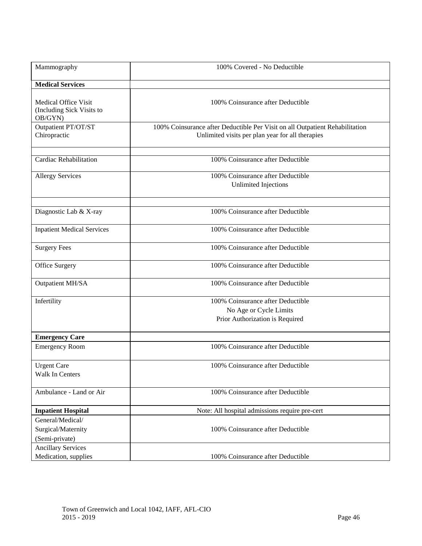| Mammography                                                         | 100% Covered - No Deductible                                                                                                     |
|---------------------------------------------------------------------|----------------------------------------------------------------------------------------------------------------------------------|
| <b>Medical Services</b>                                             |                                                                                                                                  |
| <b>Medical Office Visit</b><br>(Including Sick Visits to<br>OB/GYN) | 100% Coinsurance after Deductible                                                                                                |
| Outpatient PT/OT/ST<br>Chiropractic                                 | 100% Coinsurance after Deductible Per Visit on all Outpatient Rehabilitation<br>Unlimited visits per plan year for all therapies |
| Cardiac Rehabilitation                                              | 100% Coinsurance after Deductible                                                                                                |
| <b>Allergy Services</b>                                             | 100% Coinsurance after Deductible<br><b>Unlimited Injections</b>                                                                 |
| Diagnostic Lab & X-ray                                              | 100% Coinsurance after Deductible                                                                                                |
| <b>Inpatient Medical Services</b>                                   | 100% Coinsurance after Deductible                                                                                                |
| <b>Surgery Fees</b>                                                 | 100% Coinsurance after Deductible                                                                                                |
| Office Surgery                                                      | 100% Coinsurance after Deductible                                                                                                |
| Outpatient MH/SA                                                    | 100% Coinsurance after Deductible                                                                                                |
| Infertility                                                         | 100% Coinsurance after Deductible<br>No Age or Cycle Limits<br>Prior Authorization is Required                                   |
| <b>Emergency Care</b>                                               |                                                                                                                                  |
| <b>Emergency Room</b>                                               | 100% Coinsurance after Deductible                                                                                                |
| <b>Urgent Care</b><br>Walk In Centers                               | 100% Coinsurance after Deductible                                                                                                |
| Ambulance - Land or Air                                             | 100% Coinsurance after Deductible                                                                                                |
| <b>Inpatient Hospital</b>                                           | Note: All hospital admissions require pre-cert                                                                                   |
| General/Medical/<br>Surgical/Maternity<br>(Semi-private)            | 100% Coinsurance after Deductible                                                                                                |
| <b>Ancillary Services</b><br>Medication, supplies                   | 100% Coinsurance after Deductible                                                                                                |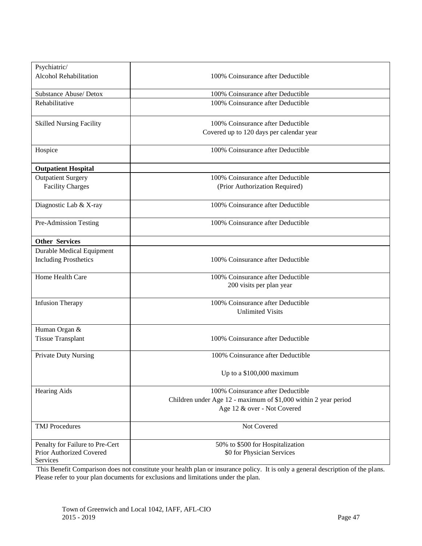| Psychiatric/                     |                                                                 |
|----------------------------------|-----------------------------------------------------------------|
| Alcohol Rehabilitation           |                                                                 |
|                                  | 100% Coinsurance after Deductible                               |
| Substance Abuse/Detox            | 100% Coinsurance after Deductible                               |
| Rehabilitative                   | 100% Coinsurance after Deductible                               |
|                                  |                                                                 |
| <b>Skilled Nursing Facility</b>  | 100% Coinsurance after Deductible                               |
|                                  | Covered up to 120 days per calendar year                        |
|                                  |                                                                 |
| Hospice                          | 100% Coinsurance after Deductible                               |
|                                  |                                                                 |
| <b>Outpatient Hospital</b>       |                                                                 |
| <b>Outpatient Surgery</b>        | 100% Coinsurance after Deductible                               |
| <b>Facility Charges</b>          | (Prior Authorization Required)                                  |
|                                  |                                                                 |
| Diagnostic Lab & X-ray           | 100% Coinsurance after Deductible                               |
|                                  |                                                                 |
| Pre-Admission Testing            | 100% Coinsurance after Deductible                               |
|                                  |                                                                 |
| <b>Other Services</b>            |                                                                 |
| <b>Durable Medical Equipment</b> |                                                                 |
| <b>Including Prosthetics</b>     | 100% Coinsurance after Deductible                               |
|                                  |                                                                 |
| Home Health Care                 | 100% Coinsurance after Deductible                               |
|                                  | 200 visits per plan year                                        |
|                                  |                                                                 |
| <b>Infusion Therapy</b>          | 100% Coinsurance after Deductible                               |
|                                  | <b>Unlimited Visits</b>                                         |
|                                  |                                                                 |
| Human Organ &                    |                                                                 |
| <b>Tissue Transplant</b>         | 100% Coinsurance after Deductible                               |
| Private Duty Nursing             | 100% Coinsurance after Deductible                               |
|                                  |                                                                 |
|                                  | Up to a \$100,000 maximum                                       |
|                                  |                                                                 |
| Hearing Aids                     | 100% Coinsurance after Deductible                               |
|                                  | Children under Age 12 - maximum of \$1,000 within 2 year period |
|                                  | Age 12 & over - Not Covered                                     |
|                                  |                                                                 |
| <b>TMJ</b> Procedures            | Not Covered                                                     |
|                                  |                                                                 |
| Penalty for Failure to Pre-Cert  | 50% to \$500 for Hospitalization                                |
| Prior Authorized Covered         | \$0 for Physician Services                                      |
| Services                         |                                                                 |

This Benefit Comparison does not constitute your health plan or insurance policy. It is only a general description of the plans. Please refer to your plan documents for exclusions and limitations under the plan.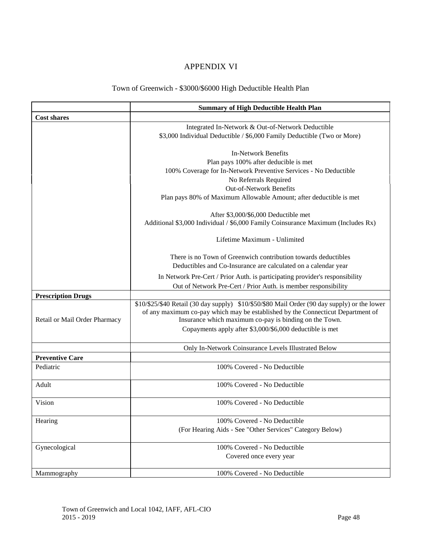# APPENDIX VI

# Town of Greenwich - \$3000/\$6000 High Deductible Health Plan

|                               | <b>Summary of High Deductible Health Plan</b>                                                                                                                                   |
|-------------------------------|---------------------------------------------------------------------------------------------------------------------------------------------------------------------------------|
| <b>Cost shares</b>            |                                                                                                                                                                                 |
|                               | Integrated In-Network & Out-of-Network Deductible                                                                                                                               |
|                               | \$3,000 Individual Deductible / \$6,000 Family Deductible (Two or More)                                                                                                         |
|                               |                                                                                                                                                                                 |
|                               | <b>In-Network Benefits</b>                                                                                                                                                      |
|                               | Plan pays 100% after deducible is met                                                                                                                                           |
|                               | 100% Coverage for In-Network Preventive Services - No Deductible<br>No Referrals Required                                                                                       |
|                               | Out-of-Network Benefits                                                                                                                                                         |
|                               | Plan pays 80% of Maximum Allowable Amount; after deductible is met                                                                                                              |
|                               |                                                                                                                                                                                 |
|                               | After \$3,000/\$6,000 Deductible met                                                                                                                                            |
|                               | Additional \$3,000 Individual / \$6,000 Family Coinsurance Maximum (Includes Rx)                                                                                                |
|                               | Lifetime Maximum - Unlimited                                                                                                                                                    |
|                               | There is no Town of Greenwich contribution towards deductibles                                                                                                                  |
|                               | Deductibles and Co-Insurance are calculated on a calendar year                                                                                                                  |
|                               | In Network Pre-Cert / Prior Auth. is participating provider's responsibility                                                                                                    |
|                               | Out of Network Pre-Cert / Prior Auth. is member responsibility                                                                                                                  |
| <b>Prescription Drugs</b>     |                                                                                                                                                                                 |
|                               | \$10/\$25/\$40 Retail (30 day supply) \$10/\$50/\$80 Mail Order (90 day supply) or the lower<br>of any maximum co-pay which may be established by the Connecticut Department of |
| Retail or Mail Order Pharmacy | Insurance which maximum co-pay is binding on the Town.                                                                                                                          |
|                               | Copayments apply after \$3,000/\$6,000 deductible is met                                                                                                                        |
|                               | Only In-Network Coinsurance Levels Illustrated Below                                                                                                                            |
| <b>Preventive Care</b>        |                                                                                                                                                                                 |
| Pediatric                     | 100% Covered - No Deductible                                                                                                                                                    |
| Adult                         | 100% Covered - No Deductible                                                                                                                                                    |
| Vision                        | 100% Covered - No Deductible                                                                                                                                                    |
| Hearing                       | 100% Covered - No Deductible                                                                                                                                                    |
|                               | (For Hearing Aids - See "Other Services" Category Below)                                                                                                                        |
| Gynecological                 | 100% Covered - No Deductible                                                                                                                                                    |
|                               | Covered once every year                                                                                                                                                         |
| Mammography                   | 100% Covered - No Deductible                                                                                                                                                    |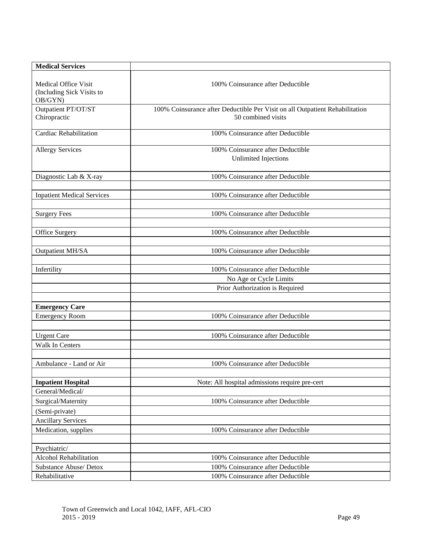| <b>Medical Services</b>                                             |                                                                                                    |
|---------------------------------------------------------------------|----------------------------------------------------------------------------------------------------|
| <b>Medical Office Visit</b><br>(Including Sick Visits to<br>OB/GYN) | 100% Coinsurance after Deductible                                                                  |
| Outpatient PT/OT/ST<br>Chiropractic                                 | 100% Coinsurance after Deductible Per Visit on all Outpatient Rehabilitation<br>50 combined visits |
| <b>Cardiac Rehabilitation</b>                                       | 100% Coinsurance after Deductible                                                                  |
| <b>Allergy Services</b>                                             | 100% Coinsurance after Deductible<br>Unlimited Injections                                          |
| Diagnostic Lab & X-ray                                              | 100% Coinsurance after Deductible                                                                  |
| <b>Inpatient Medical Services</b>                                   | 100% Coinsurance after Deductible                                                                  |
| <b>Surgery Fees</b>                                                 | 100% Coinsurance after Deductible                                                                  |
| Office Surgery                                                      | 100% Coinsurance after Deductible                                                                  |
| <b>Outpatient MH/SA</b>                                             | 100% Coinsurance after Deductible                                                                  |
| Infertility                                                         | 100% Coinsurance after Deductible                                                                  |
|                                                                     | No Age or Cycle Limits<br>Prior Authorization is Required                                          |
| <b>Emergency Care</b>                                               |                                                                                                    |
| <b>Emergency Room</b>                                               | 100% Coinsurance after Deductible                                                                  |
| <b>Urgent Care</b>                                                  | 100% Coinsurance after Deductible                                                                  |
| Walk In Centers                                                     |                                                                                                    |
| Ambulance - Land or Air                                             | 100% Coinsurance after Deductible                                                                  |
| <b>Inpatient Hospital</b>                                           | Note: All hospital admissions require pre-cert                                                     |
| General/Medical/                                                    |                                                                                                    |
| Surgical/Maternity                                                  | 100% Coinsurance after Deductible                                                                  |
| (Semi-private)                                                      |                                                                                                    |
| <b>Ancillary Services</b>                                           |                                                                                                    |
| Medication, supplies                                                | 100% Coinsurance after Deductible                                                                  |
| Psychiatric/                                                        |                                                                                                    |
| Alcohol Rehabilitation                                              | 100% Coinsurance after Deductible                                                                  |
| Substance Abuse/ Detox                                              | 100% Coinsurance after Deductible                                                                  |
| Rehabilitative                                                      | 100% Coinsurance after Deductible                                                                  |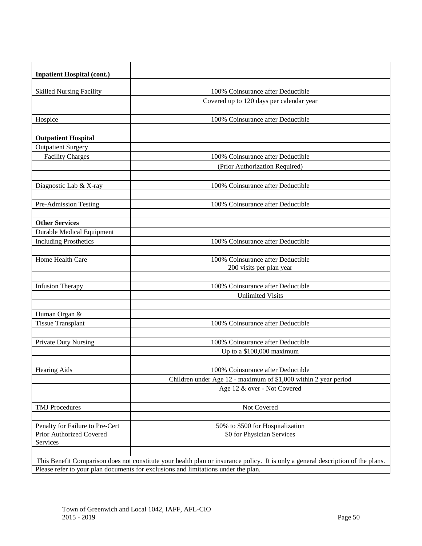| <b>Inpatient Hospital (cont.)</b>                                                                                                |                                                                               |  |
|----------------------------------------------------------------------------------------------------------------------------------|-------------------------------------------------------------------------------|--|
|                                                                                                                                  |                                                                               |  |
| <b>Skilled Nursing Facility</b>                                                                                                  | 100% Coinsurance after Deductible<br>Covered up to 120 days per calendar year |  |
|                                                                                                                                  |                                                                               |  |
| Hospice                                                                                                                          | 100% Coinsurance after Deductible                                             |  |
|                                                                                                                                  |                                                                               |  |
| <b>Outpatient Hospital</b>                                                                                                       |                                                                               |  |
| <b>Outpatient Surgery</b>                                                                                                        |                                                                               |  |
| <b>Facility Charges</b>                                                                                                          | 100% Coinsurance after Deductible                                             |  |
|                                                                                                                                  | (Prior Authorization Required)                                                |  |
|                                                                                                                                  |                                                                               |  |
| Diagnostic Lab & X-ray                                                                                                           | 100% Coinsurance after Deductible                                             |  |
|                                                                                                                                  |                                                                               |  |
| Pre-Admission Testing                                                                                                            | 100% Coinsurance after Deductible                                             |  |
| <b>Other Services</b>                                                                                                            |                                                                               |  |
| <b>Durable Medical Equipment</b>                                                                                                 |                                                                               |  |
| <b>Including Prosthetics</b>                                                                                                     | 100% Coinsurance after Deductible                                             |  |
|                                                                                                                                  |                                                                               |  |
| Home Health Care                                                                                                                 | 100% Coinsurance after Deductible                                             |  |
|                                                                                                                                  | 200 visits per plan year                                                      |  |
|                                                                                                                                  |                                                                               |  |
| <b>Infusion Therapy</b>                                                                                                          | 100% Coinsurance after Deductible                                             |  |
|                                                                                                                                  | <b>Unlimited Visits</b>                                                       |  |
|                                                                                                                                  |                                                                               |  |
| Human Organ &                                                                                                                    |                                                                               |  |
| <b>Tissue Transplant</b>                                                                                                         | 100% Coinsurance after Deductible                                             |  |
| Private Duty Nursing                                                                                                             | 100% Coinsurance after Deductible                                             |  |
|                                                                                                                                  | Up to a \$100,000 maximum                                                     |  |
|                                                                                                                                  |                                                                               |  |
| Hearing Aids                                                                                                                     | 100% Coinsurance after Deductible                                             |  |
|                                                                                                                                  | Children under Age 12 - maximum of \$1,000 within 2 year period               |  |
|                                                                                                                                  | Age 12 & over - Not Covered                                                   |  |
|                                                                                                                                  |                                                                               |  |
| <b>TMJ</b> Procedures                                                                                                            | Not Covered                                                                   |  |
|                                                                                                                                  |                                                                               |  |
| Penalty for Failure to Pre-Cert                                                                                                  | 50% to \$500 for Hospitalization                                              |  |
| Prior Authorized Covered<br>Services                                                                                             | \$0 for Physician Services                                                    |  |
|                                                                                                                                  |                                                                               |  |
| This Benefit Comparison does not constitute your health plan or insurance policy. It is only a general description of the plans. |                                                                               |  |
| Please refer to your plan documents for exclusions and limitations under the plan.                                               |                                                                               |  |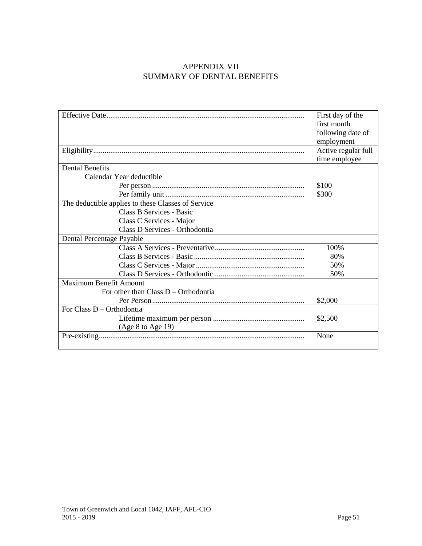# APPENDIX VII SUMMARY OF DENTAL BENEFITS

|                                                    | First day of the    |
|----------------------------------------------------|---------------------|
|                                                    | first month         |
|                                                    | following date of   |
|                                                    | employment          |
|                                                    | Active regular full |
|                                                    | time employee       |
| <b>Dental Benefits</b>                             |                     |
| Calendar Year deductible                           |                     |
|                                                    | \$100               |
|                                                    | \$300               |
| The deductible applies to these Classes of Service |                     |
| Class B Services - Basic                           |                     |
| Class C Services - Major                           |                     |
| Class D Services - Orthodontia                     |                     |
| Dental Percentage Payable                          |                     |
|                                                    | 100%                |
|                                                    | 80%                 |
|                                                    | 50%                 |
|                                                    | 50%                 |
| Maximum Benefit Amount                             |                     |
| For other than Class $D -$ Orthodontia             |                     |
|                                                    | \$2,000             |
| For Class D – Orthodontia                          |                     |
|                                                    | \$2,500             |
| (Age 8 to Age 19)                                  |                     |
|                                                    | None                |
|                                                    |                     |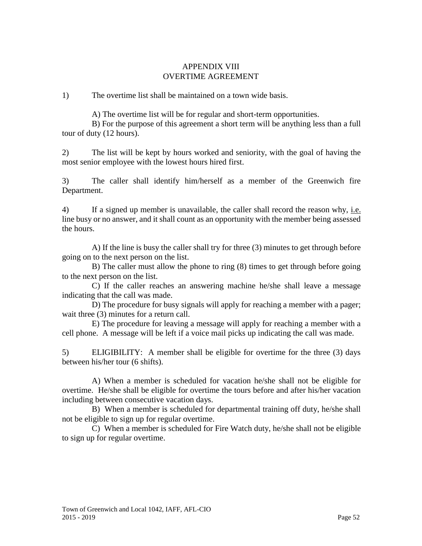### APPENDIX VIII OVERTIME AGREEMENT

1) The overtime list shall be maintained on a town wide basis.

A) The overtime list will be for regular and short-term opportunities.

B) For the purpose of this agreement a short term will be anything less than a full tour of duty (12 hours).

2) The list will be kept by hours worked and seniority, with the goal of having the most senior employee with the lowest hours hired first.

3) The caller shall identify him/herself as a member of the Greenwich fire Department.

4) If a signed up member is unavailable, the caller shall record the reason why, i.e. line busy or no answer, and it shall count as an opportunity with the member being assessed the hours.

A) If the line is busy the caller shall try for three (3) minutes to get through before going on to the next person on the list.

B) The caller must allow the phone to ring (8) times to get through before going to the next person on the list.

C) If the caller reaches an answering machine he/she shall leave a message indicating that the call was made.

D) The procedure for busy signals will apply for reaching a member with a pager; wait three  $(3)$  minutes for a return call.

E) The procedure for leaving a message will apply for reaching a member with a cell phone. A message will be left if a voice mail picks up indicating the call was made.

5) ELIGIBILITY: A member shall be eligible for overtime for the three (3) days between his/her tour (6 shifts).

A) When a member is scheduled for vacation he/she shall not be eligible for overtime. He/she shall be eligible for overtime the tours before and after his/her vacation including between consecutive vacation days.

B) When a member is scheduled for departmental training off duty, he/she shall not be eligible to sign up for regular overtime.

C) When a member is scheduled for Fire Watch duty, he/she shall not be eligible to sign up for regular overtime.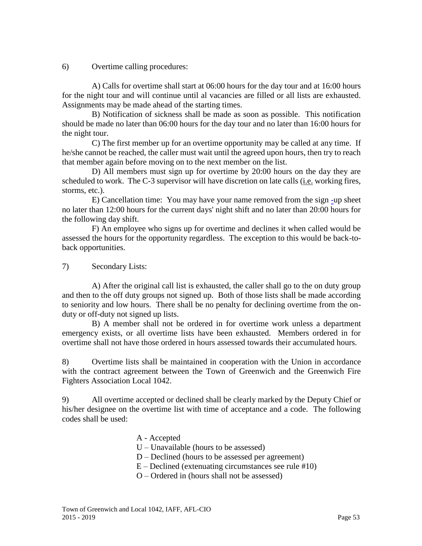6) Overtime calling procedures:

A) Calls for overtime shall start at 06:00 hours for the day tour and at 16:00 hours for the night tour and will continue until al vacancies are filled or all lists are exhausted. Assignments may be made ahead of the starting times.

B) Notification of sickness shall be made as soon as possible. This notification should be made no later than 06:00 hours for the day tour and no later than 16:00 hours for the night tour.

C) The first member up for an overtime opportunity may be called at any time. If he/she cannot be reached, the caller must wait until the agreed upon hours, then try to reach that member again before moving on to the next member on the list.

D) All members must sign up for overtime by 20:00 hours on the day they are scheduled to work. The C-3 supervisor will have discretion on late calls (i.e. working fires, storms, etc.).

E) Cancellation time: You may have your name removed from the sign -up sheet no later than 12:00 hours for the current days' night shift and no later than 20:00 hours for the following day shift.

F) An employee who signs up for overtime and declines it when called would be assessed the hours for the opportunity regardless. The exception to this would be back-toback opportunities.

7) Secondary Lists:

A) After the original call list is exhausted, the caller shall go to the on duty group and then to the off duty groups not signed up. Both of those lists shall be made according to seniority and low hours. There shall be no penalty for declining overtime from the onduty or off-duty not signed up lists.

B) A member shall not be ordered in for overtime work unless a department emergency exists, or all overtime lists have been exhausted. Members ordered in for overtime shall not have those ordered in hours assessed towards their accumulated hours.

8) Overtime lists shall be maintained in cooperation with the Union in accordance with the contract agreement between the Town of Greenwich and the Greenwich Fire Fighters Association Local 1042.

9) All overtime accepted or declined shall be clearly marked by the Deputy Chief or his/her designee on the overtime list with time of acceptance and a code. The following codes shall be used:

- A Accepted
- U Unavailable (hours to be assessed)
- D Declined (hours to be assessed per agreement)
- $E$  Declined (extenuating circumstances see rule #10)
- O Ordered in (hours shall not be assessed)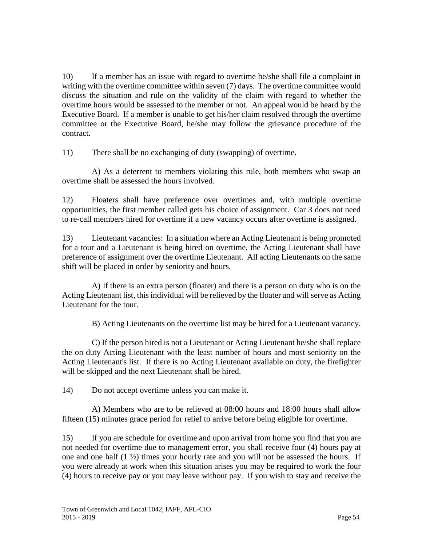10) If a member has an issue with regard to overtime he/she shall file a complaint in writing with the overtime committee within seven (7) days. The overtime committee would discuss the situation and rule on the validity of the claim with regard to whether the overtime hours would be assessed to the member or not. An appeal would be heard by the Executive Board. If a member is unable to get his/her claim resolved through the overtime committee or the Executive Board, he/she may follow the grievance procedure of the contract.

11) There shall be no exchanging of duty (swapping) of overtime.

A) As a deterrent to members violating this rule, both members who swap an overtime shall be assessed the hours involved.

12) Floaters shall have preference over overtimes and, with multiple overtime opportunities, the first member called gets his choice of assignment. Car 3 does not need to re-call members hired for overtime if a new vacancy occurs after overtime is assigned.

13) Lieutenant vacancies: In a situation where an Acting Lieutenant is being promoted for a tour and a Lieutenant is being hired on overtime, the Acting Lieutenant shall have preference of assignment over the overtime Lieutenant. All acting Lieutenants on the same shift will be placed in order by seniority and hours.

A) If there is an extra person (floater) and there is a person on duty who is on the Acting Lieutenant list, this individual will be relieved by the floater and will serve as Acting Lieutenant for the tour.

B) Acting Lieutenants on the overtime list may be hired for a Lieutenant vacancy.

C) If the person hired is not a Lieutenant or Acting Lieutenant he/she shall replace the on duty Acting Lieutenant with the least number of hours and most seniority on the Acting Lieutenant's list. If there is no Acting Lieutenant available on duty, the firefighter will be skipped and the next Lieutenant shall be hired.

14) Do not accept overtime unless you can make it.

A) Members who are to be relieved at 08:00 hours and 18:00 hours shall allow fifteen (15) minutes grace period for relief to arrive before being eligible for overtime.

15) If you are schedule for overtime and upon arrival from home you find that you are not needed for overtime due to management error, you shall receive four (4) hours pay at one and one half (1 ½) times your hourly rate and you will not be assessed the hours. If you were already at work when this situation arises you may be required to work the four (4) hours to receive pay or you may leave without pay. If you wish to stay and receive the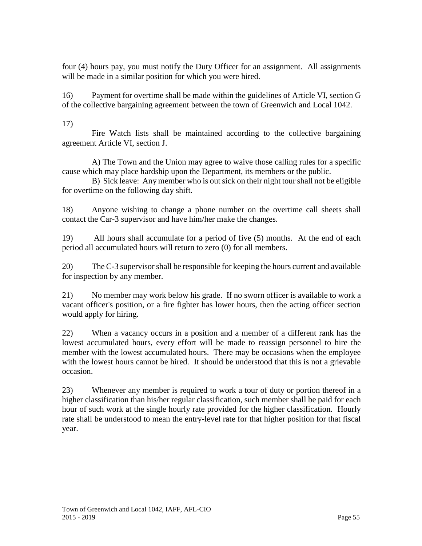four (4) hours pay, you must notify the Duty Officer for an assignment. All assignments will be made in a similar position for which you were hired.

16) Payment for overtime shall be made within the guidelines of Article VI, section G of the collective bargaining agreement between the town of Greenwich and Local 1042.

17)

Fire Watch lists shall be maintained according to the collective bargaining agreement Article VI, section J.

A) The Town and the Union may agree to waive those calling rules for a specific cause which may place hardship upon the Department, its members or the public.

B) Sick leave: Any member who is out sick on their night tour shall not be eligible for overtime on the following day shift.

18) Anyone wishing to change a phone number on the overtime call sheets shall contact the Car-3 supervisor and have him/her make the changes.

19) All hours shall accumulate for a period of five (5) months. At the end of each period all accumulated hours will return to zero (0) for all members.

20) The C-3 supervisor shall be responsible for keeping the hours current and available for inspection by any member.

21) No member may work below his grade. If no sworn officer is available to work a vacant officer's position, or a fire fighter has lower hours, then the acting officer section would apply for hiring.

22) When a vacancy occurs in a position and a member of a different rank has the lowest accumulated hours, every effort will be made to reassign personnel to hire the member with the lowest accumulated hours. There may be occasions when the employee with the lowest hours cannot be hired. It should be understood that this is not a grievable occasion.

23) Whenever any member is required to work a tour of duty or portion thereof in a higher classification than his/her regular classification, such member shall be paid for each hour of such work at the single hourly rate provided for the higher classification. Hourly rate shall be understood to mean the entry-level rate for that higher position for that fiscal year.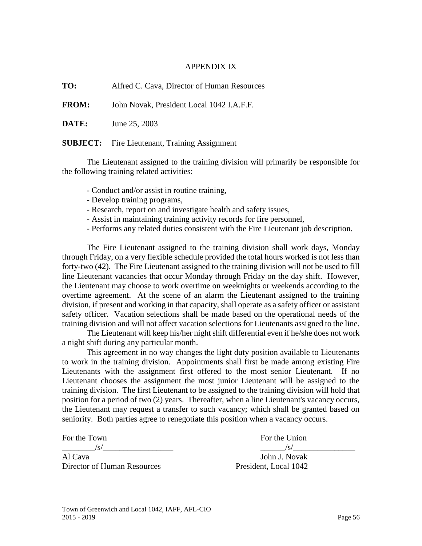#### APPENDIX IX

**TO:** Alfred C. Cava, Director of Human Resources

**FROM:** John Novak, President Local 1042 I.A.F.F.

**DATE:** June 25, 2003

**SUBJECT:** Fire Lieutenant, Training Assignment

The Lieutenant assigned to the training division will primarily be responsible for the following training related activities:

- Conduct and/or assist in routine training,
- Develop training programs,
- Research, report on and investigate health and safety issues,
- Assist in maintaining training activity records for fire personnel,
- Performs any related duties consistent with the Fire Lieutenant job description.

The Fire Lieutenant assigned to the training division shall work days, Monday through Friday, on a very flexible schedule provided the total hours worked is not less than forty-two (42). The Fire Lieutenant assigned to the training division will not be used to fill line Lieutenant vacancies that occur Monday through Friday on the day shift. However, the Lieutenant may choose to work overtime on weeknights or weekends according to the overtime agreement. At the scene of an alarm the Lieutenant assigned to the training division, if present and working in that capacity, shall operate as a safety officer or assistant safety officer. Vacation selections shall be made based on the operational needs of the training division and will not affect vacation selections for Lieutenants assigned to the line.

The Lieutenant will keep his/her night shift differential even if he/she does not work a night shift during any particular month.

This agreement in no way changes the light duty position available to Lieutenants to work in the training division. Appointments shall first be made among existing Fire Lieutenants with the assignment first offered to the most senior Lieutenant. If no Lieutenant chooses the assignment the most junior Lieutenant will be assigned to the training division. The first Lieutenant to be assigned to the training division will hold that position for a period of two (2) years. Thereafter, when a line Lieutenant's vacancy occurs, the Lieutenant may request a transfer to such vacancy; which shall be granted based on seniority. Both parties agree to renegotiate this position when a vacancy occurs.

Al Cava John J. Novak Director of Human Resources President, Local 1042

For the Town For the Union  $/\text{S}/\text{S}/\text{S}$